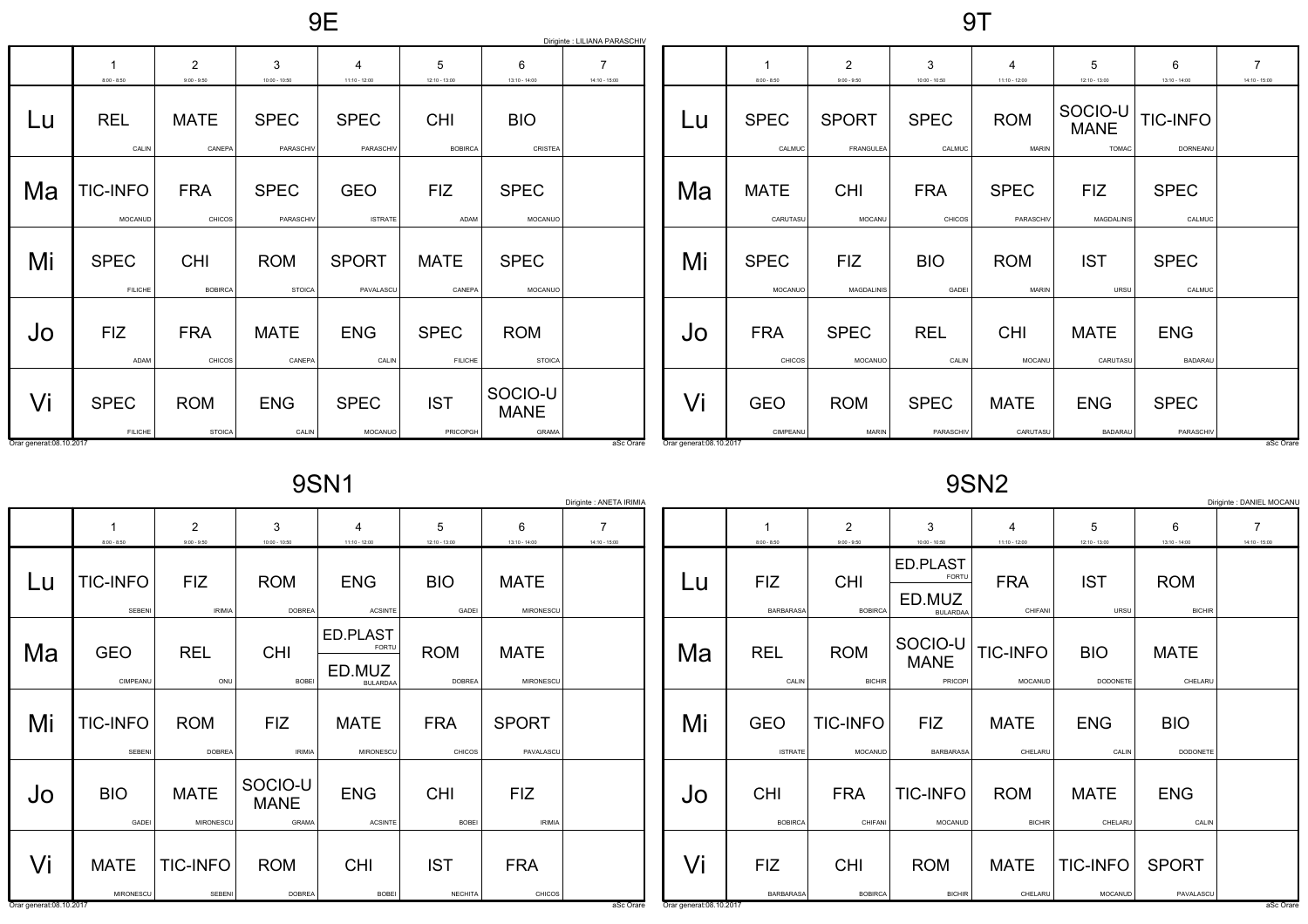9E

|    |                               |                                 |                             |                              |                               |                                        | Diriginte : LILIANA PARASCHIV |    |            |
|----|-------------------------------|---------------------------------|-----------------------------|------------------------------|-------------------------------|----------------------------------------|-------------------------------|----|------------|
|    | 1<br>$8:00 - 8:50$            | $\overline{2}$<br>$9:00 - 9:50$ | 3<br>$10:00 - 10:50$        | 4<br>$11:10 - 12:00$         | 5<br>$12:10 - 13:00$          | 6<br>13:10 - 14:00                     | 7<br>$14:10 - 15:00$          |    | $8:00 - 1$ |
| Lu | <b>REL</b><br>CALIN           | <b>MATE</b><br>CANEPA           | <b>SPEC</b><br>PARASCHIV    | <b>SPEC</b><br>PARASCHIV     | <b>CHI</b><br><b>BOBIRCA</b>  | <b>BIO</b><br>CRISTEA                  |                               | Lu | <b>SPI</b> |
| Ma | <b>TIC-INFO</b><br>MOCANUD    | <b>FRA</b><br>CHICOS            | <b>SPEC</b><br>PARASCHIV    | <b>GEO</b><br><b>ISTRATE</b> | <b>FIZ</b><br>ADAM            | <b>SPEC</b><br>MOCANUO                 |                               | Ma | <b>MA</b>  |
| Mi | <b>SPEC</b><br><b>FILICHE</b> | <b>CHI</b><br><b>BOBIRCA</b>    | <b>ROM</b><br><b>STOICA</b> | <b>SPORT</b><br>PAVALASCU    | <b>MATE</b><br>CANEPA         | <b>SPEC</b><br>MOCANUO                 |                               | Mi | SPI        |
| Jo | <b>FIZ</b><br>ADAM            | <b>FRA</b><br>CHICOS            | <b>MATE</b><br>CANEPA       | <b>ENG</b><br>CALIN          | <b>SPEC</b><br><b>FILICHE</b> | <b>ROM</b><br><b>STOICA</b>            |                               | Jo | <b>FR</b>  |
| Vi | <b>SPEC</b><br><b>FILICHE</b> | <b>ROM</b><br><b>STOICA</b>     | <b>ENG</b><br>CALIN         | <b>SPEC</b><br>MOCANUO       | <b>IST</b><br>PRICOPGH        | SOCIO-U<br><b>MANE</b><br><b>GRAMA</b> |                               | Vi | <b>GE</b>  |

|                               | 1<br>$8:00 - 8:50$      | $\overline{2}$<br>$9:00 - 9:50$ | 3<br>$10:00 - 10:50$        | 4<br>$11:10 - 12:00$        | 5<br>$12:10 - 13:00$                   | 6<br>$13:10 - 14:00$         | $\overline{7}$<br>$14:10 - 15:00$ |
|-------------------------------|-------------------------|---------------------------------|-----------------------------|-----------------------------|----------------------------------------|------------------------------|-----------------------------------|
| Lu                            | <b>SPEC</b><br>CALMUC   | <b>SPORT</b><br>FRANGULEA       | <b>SPEC</b><br>CALMUC       | <b>ROM</b><br><b>MARIN</b>  | SOCIO-U<br><b>MANE</b><br><b>TOMAC</b> | <b>TIC-INFO</b><br>DORNEANU  |                                   |
| Ma                            | <b>MATE</b><br>CARUTASU | <b>CHI</b><br>MOCANU            | <b>FRA</b><br><b>CHICOS</b> | <b>SPEC</b><br>PARASCHIV    | <b>FIZ</b><br><b>MAGDALINIS</b>        | <b>SPEC</b><br>CALMUC        |                                   |
| Mi                            | <b>SPEC</b><br>MOCANUO  | <b>FIZ</b><br>MAGDALINIS        | <b>BIO</b><br>GADEI         | <b>ROM</b><br><b>MARIN</b>  | <b>IST</b><br>URSU                     | <b>SPEC</b><br>CALMUC        |                                   |
| Jo                            | <b>FRA</b><br>CHICOS    | <b>SPEC</b><br>MOCANUO          | <b>REL</b><br>CALIN         | <b>CHI</b><br><b>MOCANU</b> | <b>MATE</b><br>CARUTASU                | <b>ENG</b><br><b>BADARAU</b> |                                   |
| Vi<br>Orar generat:08.10.2017 | <b>GEO</b><br>CIMPEANU  | <b>ROM</b><br><b>MARIN</b>      | <b>SPEC</b><br>PARASCHIV    | <b>MATE</b><br>CARUTASU     | <b>ENG</b><br><b>BADARAL</b>           | <b>SPEC</b><br>PARASCHIV     | aSc Orare                         |

9SN1

|                         |                           |                             |                                        | - - - - -                                             |                              |                             | Diriginte : ANETA IRIMIA          |                         |                                |                                 |                                                       | -- - - <del>-</del>         |                               |                             | Diriginte : DANIEL MOCANI         |
|-------------------------|---------------------------|-----------------------------|----------------------------------------|-------------------------------------------------------|------------------------------|-----------------------------|-----------------------------------|-------------------------|--------------------------------|---------------------------------|-------------------------------------------------------|-----------------------------|-------------------------------|-----------------------------|-----------------------------------|
|                         | $8:00 - 8:50$             | 2<br>$9:00 - 9:50$          | 3<br>$10:00 - 10:50$                   | 4<br>$11:10 - 12:00$                                  | 5<br>$12:10 - 13:00$         | 6<br>$13:10 - 14:00$        | $\overline{7}$<br>$14:10 - 15:00$ |                         | $8:00 - 8:50$                  | $\overline{2}$<br>$9:00 - 9:50$ | 3<br>$10:00 - 10:50$                                  | $11:10 - 12:00$             | 5<br>$12:10 - 13:00$          | 6<br>$13:10 - 14:00$        | $\overline{7}$<br>$14:10 - 15:00$ |
| Lu                      | <b>TIC-INFO</b><br>SEBENI | <b>FIZ</b><br><b>IRIMIA</b> | <b>ROM</b><br><b>DOBREA</b>            | <b>ENG</b><br><b>ACSINTE</b>                          | <b>BIO</b><br>GADEI          | <b>MATE</b><br>MIRONESCU    |                                   | Lu                      | <b>FIZ</b><br><b>BARBARASA</b> | <b>CHI</b><br><b>BOBIRCA</b>    | ED.PLAST<br><b>FORTL</b><br>ED.MUZ<br><b>BULARDAA</b> | <b>FRA</b><br>CHIFANI       | <b>IST</b><br>URSU            | <b>ROM</b><br><b>BICHIR</b> |                                   |
| Ma                      | <b>GEO</b><br>CIMPEANU    | <b>REL</b><br>ONU           | <b>CHI</b><br>BOBEI                    | ED.PLAST<br><b>FORTU</b><br>ED.MUZ<br><b>BULARDAA</b> | <b>ROM</b><br><b>DOBREA</b>  | <b>MATE</b><br>MIRONESCU    |                                   | Ma                      | <b>REL</b><br>CALIN            | <b>ROM</b><br><b>BICHIR</b>     | SOCIO-U<br><b>MANE</b><br>PRICOPI                     | TIC-INFO<br>MOCANUD         | <b>BIO</b><br><b>DODONETE</b> | <b>MATE</b><br>CHELARU      |                                   |
| Mi                      | <b>TIC-INFO</b><br>SEBENI | <b>ROM</b><br><b>DOBREA</b> | <b>FIZ</b><br><b>IRIMIA</b>            | <b>MATE</b><br>MIRONESCL                              | <b>FRA</b><br>CHICOS         | <b>SPORT</b><br>PAVALASCU   |                                   | Mi                      | <b>GEO</b><br><b>ISTRATE</b>   | <b>TIC-INFO</b><br>MOCANUD      | <b>FIZ</b><br><b>BARBARASA</b>                        | <b>MATE</b><br>CHELARU      | <b>ENG</b><br>CALIN           | <b>BIO</b><br>DODONETE      |                                   |
| Jo                      | <b>BIO</b><br>GADEI       | <b>MATE</b><br>MIRONESCU    | SOCIO-U<br><b>MANE</b><br><b>GRAMA</b> | <b>ENG</b><br><b>ACSINTE</b>                          | <b>CHI</b><br><b>BOBEI</b>   | <b>FIZ</b><br><b>IRIMIA</b> |                                   | JO                      | <b>CHI</b><br>BOBIRCA          | <b>FRA</b><br>CHIFANI           | TIC-INFO<br>MOCANUD                                   | <b>ROM</b><br><b>BICHIR</b> | <b>MATE</b><br>CHELARU        | <b>ENG</b><br>CALIN         |                                   |
| Vi                      | <b>MATE</b><br>MIRONESCU  | TIC-INFO<br>SEBENI          | <b>ROM</b><br><b>DOBREA</b>            | <b>CHI</b><br>BOBEI                                   | <b>IST</b><br><b>NECHITA</b> | <b>FRA</b><br>CHICOS        |                                   | Vi                      | <b>FIZ</b><br><b>BARBARASA</b> | <b>CHI</b><br><b>BOBIRCA</b>    | <b>ROM</b><br><b>BICHIR</b>                           | <b>MATE</b><br>CHELARU      | TIC-INFO<br>MOCANUD           | <b>SPORT</b><br>PAVALASCU   |                                   |
| Orar generat:08.10.2017 |                           |                             |                                        |                                                       |                              |                             | aSc Orare                         | Orar generat:08.10.2017 |                                |                                 |                                                       |                             |                               |                             | aSc Orare                         |

9SN2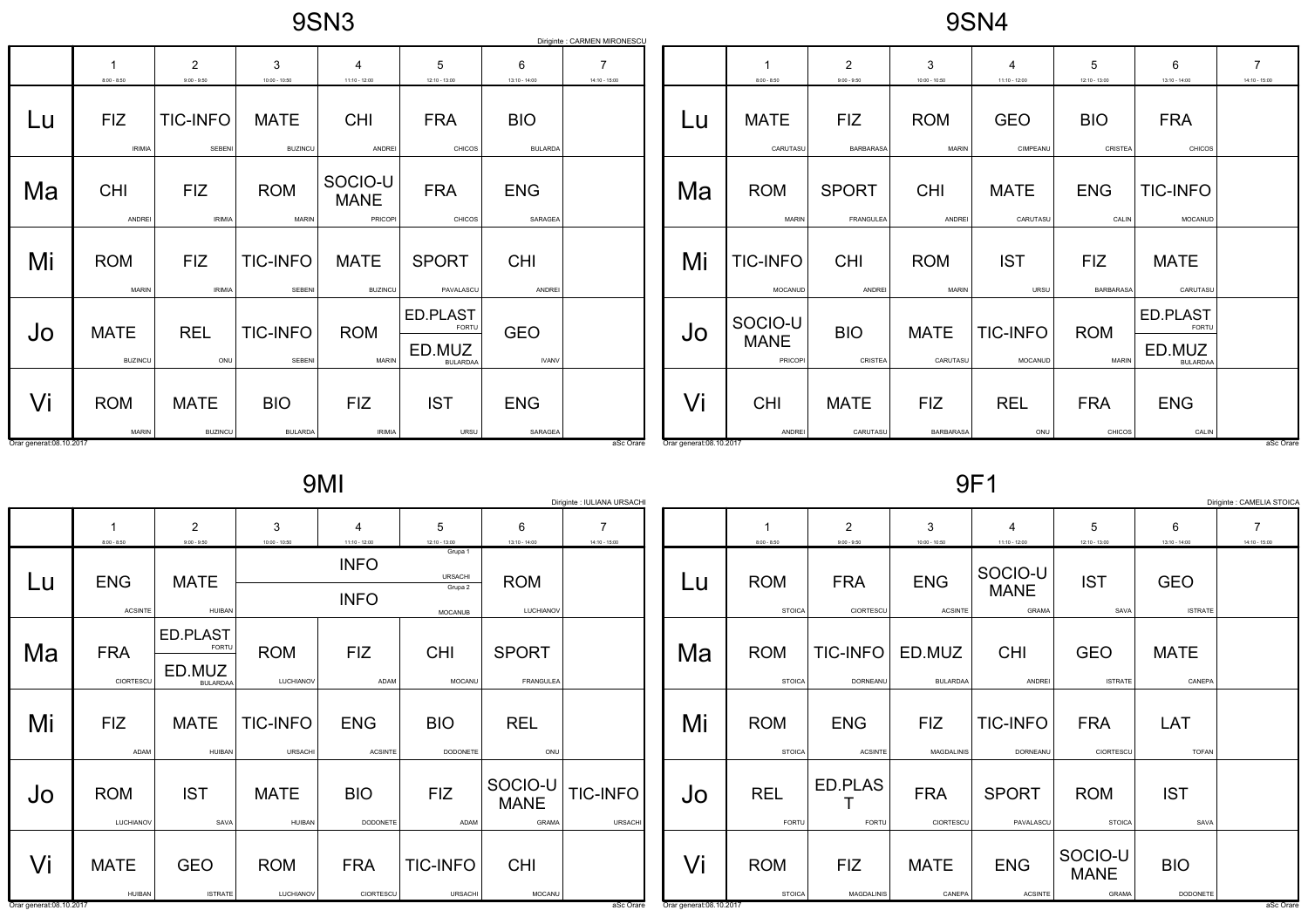9SN4

|                         |                               |                                 |                               |                                   |                                                |                              | Diriginte : CARMEN MIRONESCU |                         |                                   |                                  |                            |                         |                                |                                                |                                   |
|-------------------------|-------------------------------|---------------------------------|-------------------------------|-----------------------------------|------------------------------------------------|------------------------------|------------------------------|-------------------------|-----------------------------------|----------------------------------|----------------------------|-------------------------|--------------------------------|------------------------------------------------|-----------------------------------|
|                         | $8:00 - 8:50$                 | $\overline{2}$<br>$9:00 - 9:50$ | 3<br>$10:00 - 10:50$          | $\overline{4}$<br>$11:10 - 12:00$ | 5<br>$12:10 - 13:00$                           | 6<br>$13:10 - 14:00$         | $14:10 - 15:00$              |                         | $8:00 - 8:50$                     | $\overline{2}$<br>$9:00 - 9:50$  | 3<br>$10:00 - 10:50$       | 4<br>$11:10 - 12:00$    | 5<br>$12:10 - 13:00$           | 6<br>$13:10 - 14:00$                           | $\overline{7}$<br>$14:10 - 15:00$ |
| Lu                      | <b>FIZ</b><br><b>IRIMIA</b>   | <b>TIC-INFO</b><br>SEBENI       | <b>MATE</b><br><b>BUZINCU</b> | <b>CHI</b><br>ANDREI              | <b>FRA</b><br>CHICOS                           | <b>BIO</b><br><b>BULARDA</b> |                              | Lu                      | <b>MATE</b><br>CARUTASU           | <b>FIZ</b><br><b>BARBARASA</b>   | <b>ROM</b><br><b>MARIN</b> | <b>GEO</b><br>CIMPEANU  | <b>BIO</b><br>CRISTEA          | <b>FRA</b><br>CHICOS                           |                                   |
| Ma                      | <b>CHI</b><br>ANDREI          | <b>FIZ</b><br><b>IRIMIA</b>     | <b>ROM</b><br><b>MARIN</b>    | SOCIO-U<br><b>MANE</b><br>PRICOPI | <b>FRA</b><br>CHICOS                           | <b>ENG</b><br>SARAGEA        |                              | Ma                      | <b>ROM</b><br><b>MARIN</b>        | <b>SPORT</b><br><b>FRANGULEA</b> | <b>CHI</b><br>ANDREI       | <b>MATE</b><br>CARUTASU | <b>ENG</b><br>CALIN            | <b>TIC-INFO</b><br>MOCANUD                     |                                   |
| Mi                      | <b>ROM</b><br><b>MARIN</b>    | <b>FIZ</b><br><b>IRIMIA</b>     | <b>TIC-INFO</b><br>SEBENI     | <b>MATE</b><br><b>BUZINCU</b>     | <b>SPORT</b><br>PAVALASCU                      | <b>CHI</b><br>ANDREI         |                              | Mi                      | <b>TIC-INFO</b><br>MOCANUD        | <b>CHI</b><br>ANDRE              | <b>ROM</b><br><b>MARIN</b> | <b>IST</b><br>URSU      | <b>FIZ</b><br><b>BARBARASA</b> | <b>MATE</b><br>CARUTASU                        |                                   |
| Jo                      | <b>MATE</b><br><b>BUZINCU</b> | <b>REL</b><br>ONU               | <b>TIC-INFO</b><br>SEBENI     | <b>ROM</b><br><b>MARIN</b>        | ED.PLAST<br>FORTU<br>ED.MUZ<br><b>BULARDAA</b> | <b>GEO</b><br><b>IVANV</b>   |                              | Jo                      | SOCIO-U<br><b>MANE</b><br>PRICOPI | <b>BIO</b><br>CRISTEA            | <b>MATE</b><br>CARUTASU    | TIC-INFO<br>MOCANUD     | <b>ROM</b><br>MARIN            | ED.PLAST<br>FORTU<br>ED.MUZ<br><b>BULARDAA</b> |                                   |
| Vi                      | <b>ROM</b><br><b>MARIN</b>    | <b>MATE</b><br><b>BUZINCU</b>   | <b>BIO</b><br><b>BULARDA</b>  | <b>FIZ</b><br><b>IRIMIA</b>       | <b>IST</b><br>URSU                             | <b>ENG</b><br>SARAGEA        |                              | Vi                      | <b>CHI</b><br>ANDREI              | <b>MATE</b><br>CARUTASU          | <b>FIZ</b><br>BARBARASA    | <b>REL</b><br>ONU       | <b>FRA</b><br>CHICOS           | <b>ENG</b><br>CALIN                            |                                   |
| Orar generat:08.10.2017 |                               |                                 |                               |                                   |                                                |                              | aSc Orare                    | Orar generat:08.10.2017 |                                   |                                  |                            |                         |                                |                                                | aSc Orare                         |

9MI

|--|--|

|                         |                                                   |                                                       |                            |                              |                                                        |                                 | Diriginte : IULIANA URSACHI       |    |                             |                                 |                                 |                                        |                                 |                              | Diriginte : CAMELIA STOICA        |
|-------------------------|---------------------------------------------------|-------------------------------------------------------|----------------------------|------------------------------|--------------------------------------------------------|---------------------------------|-----------------------------------|----|-----------------------------|---------------------------------|---------------------------------|----------------------------------------|---------------------------------|------------------------------|-----------------------------------|
|                         | $8:00 - 8:50$                                     | $\overline{2}$<br>$9:00 - 9:50$                       | 3<br>$10:00 - 10:50$       | $11:10 - 12:00$              | 5<br>$12:10 - 13:00$                                   | 6<br>$13:10 - 14:00$            | $\overline{7}$<br>$14:10 - 15:00$ |    | $8:00 - 8:50$               | $\overline{2}$<br>$9:00 - 9:50$ | 3<br>$10:00 - 10:50$            | 4<br>$11:10 - 12:00$                   | $12:10 - 13:00$                 | 6<br>$13:10 - 14:00$         | $\overline{7}$<br>$14:10 - 15:00$ |
| Lu                      | <b>ENG</b><br><b>ACSINTE</b>                      | <b>MATE</b><br>HUIBAN                                 |                            | <b>INFO</b><br><b>INFO</b>   | Grupa 1<br><b>URSACHI</b><br>Grupa 2<br><b>MOCANUB</b> | <b>ROM</b><br>LUCHIANOV         |                                   | Lu | <b>ROM</b><br><b>STOICA</b> | <b>FRA</b><br>CIORTESCU         | <b>ENG</b><br><b>ACSINTE</b>    | SOCIO-U<br><b>MANE</b><br><b>GRAMA</b> | <b>IST</b><br>SAVA              | <b>GEO</b><br><b>ISTRATE</b> |                                   |
| Ma                      | <b>FRA</b><br>CIORTESCU                           | ED.PLAST<br><b>FORTU</b><br>ED.MUZ<br><b>BULARDAA</b> | <b>ROM</b><br>LUCHIANOV    | <b>FIZ</b><br>ADAM           | CHI<br>MOCANU                                          | <b>SPORT</b><br>FRANGULEA       |                                   | Ma | <b>ROM</b><br><b>STOICA</b> | <b>TIC-INFO</b><br>DORNEANU     | ED.MUZ<br><b>BULARDAA</b>       | <b>CHI</b><br>ANDREI                   | <b>GEO</b><br><b>ISTRATE</b>    | <b>MATE</b><br>CANEPA        |                                   |
| Mi                      | <b>FIZ</b><br>ADAM                                | <b>MATE</b><br><b>HUIBAN</b>                          | <b>TIC-INFO</b><br>URSACHI | <b>ENG</b><br><b>ACSINTE</b> | <b>BIO</b><br>DODONETE                                 | <b>REL</b><br>ONU               |                                   | Mi | <b>ROM</b><br><b>STOICA</b> | <b>ENG</b><br><b>ACSINTE</b>    | <b>FIZ</b><br><b>MAGDALINIS</b> | <b>TIC-INFO</b><br>DORNEANU            | <b>FRA</b><br>CIORTESCU         | LAT<br><b>TOFAN</b>          |                                   |
| Jo                      | <b>ROM</b><br>LUCHIANOV                           | <b>IST</b><br>SAVA                                    | <b>MATE</b><br>HUIBAN      | <b>BIO</b><br>DODONETE       | <b>FIZ</b><br>ADAM                                     | SOCIO-U<br><b>MANE</b><br>GRAMA | TIC-INFO<br><b>URSACHI</b>        | JO | <b>REL</b><br>FORTU         | ED.PLAS<br>FORTU                | <b>FRA</b><br>CIORTESCU         | <b>SPORT</b><br>PAVALASCU              | <b>ROM</b><br><b>STOICA</b>     | <b>IST</b><br>SAVA           |                                   |
| Vi                      | <b>MATE</b><br><b>HUIBAN</b>                      | <b>GEO</b><br><b>ISTRATE</b>                          | <b>ROM</b><br>LUCHIANOV    | <b>FRA</b><br>CIORTESCU      | <b>TIC-INFO</b><br><b>URSACHI</b>                      | <b>CHI</b><br>MOCANU            |                                   | Vi | <b>ROM</b><br><b>STOICA</b> | <b>FIZ</b><br>MAGDALINIS        | <b>MATE</b><br>CANEPA           | <b>ENG</b><br><b>ACSINTE</b>           | SOCIO-U<br><b>MANE</b><br>GRAMA | <b>BIO</b><br>DODONETE       |                                   |
| Orar generat:08.10.2017 | aSc Orare<br>Orar generat:08.10.2017<br>aSc Orare |                                                       |                            |                              |                                                        |                                 |                                   |    |                             |                                 |                                 |                                        |                                 |                              |                                   |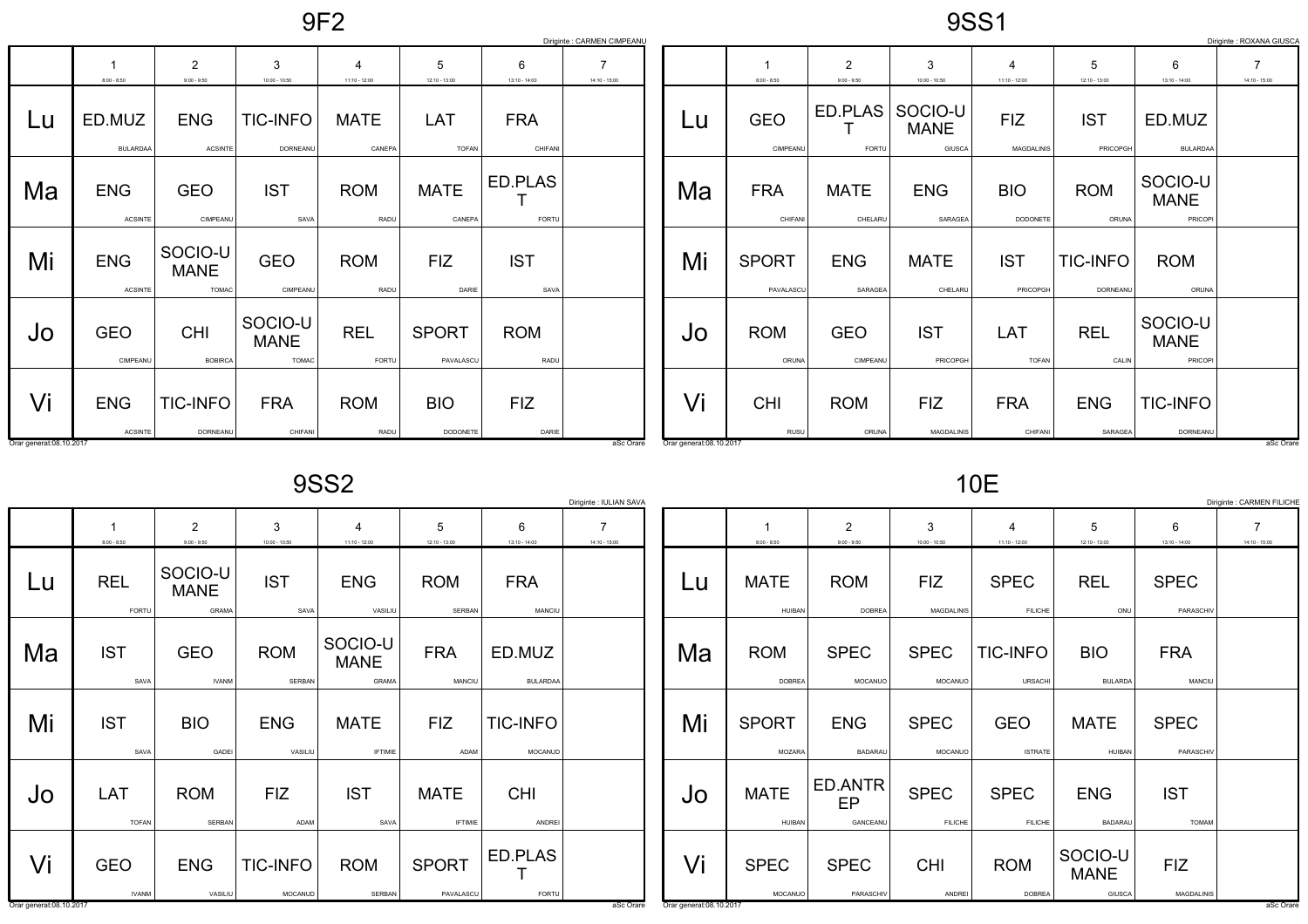9SS1

|                         |                              |                                        |                                        |                                   |                            |                       | Diriginte : CARMEN CIMPEANU       |                         |                           |                                 |                                  |                                   |                             |                                   | Diriginte : ROXANA GIUSCA         |
|-------------------------|------------------------------|----------------------------------------|----------------------------------------|-----------------------------------|----------------------------|-----------------------|-----------------------------------|-------------------------|---------------------------|---------------------------------|----------------------------------|-----------------------------------|-----------------------------|-----------------------------------|-----------------------------------|
|                         | $8:00 - 8:50$                | $\overline{2}$<br>$9:00 - 9:50$        | 3<br>$10:00 - 10:50$                   | $\overline{4}$<br>$11:10 - 12:00$ | 5<br>$12:10 - 13:00$       | 6<br>$13:10 - 14:00$  | $\overline{7}$<br>$14:10 - 15:00$ |                         | $8:00 - 8:50$             | $\overline{2}$<br>$9:00 - 9:50$ | 3<br>$10:00 - 10:50$             | $\overline{4}$<br>$11:10 - 12:00$ | 5<br>12:10 - 13:00          | 6<br>$13:10 - 14:00$              | $\overline{7}$<br>$14:10 - 15:00$ |
| Lu                      | ED.MUZ<br><b>BULARDAA</b>    | <b>ENG</b><br><b>ACSINTE</b>           | <b>TIC-INFO</b><br>DORNEANU            | <b>MATE</b><br>CANEPA             | <b>LAT</b><br><b>TOFAN</b> | <b>FRA</b><br>CHIFANI |                                   | Lu                      | <b>GEO</b><br>CIMPEANU    | ED.PLAS<br>FORTU                | SOCIO-U<br><b>MANE</b><br>GIUSCA | <b>FIZ</b><br>MAGDALINIS          | <b>IST</b><br>PRICOPGH      | ED.MUZ<br><b>BULARDAA</b>         |                                   |
| Ma                      | <b>ENG</b><br><b>ACSINTE</b> | <b>GEO</b><br>CIMPEANU                 | <b>IST</b><br>SAVA                     | <b>ROM</b><br>RADU                | <b>MATE</b><br>CANEPA      | ED.PLAS<br>FORTU      |                                   | Ma                      | <b>FRA</b><br>CHIFANI     | <b>MATE</b><br>CHELARU          | <b>ENG</b><br>SARAGEA            | <b>BIO</b><br>DODONETE            | <b>ROM</b><br>ORUNA         | SOCIO-U<br><b>MANE</b><br>PRICOPI |                                   |
| Mi                      | <b>ENG</b><br><b>ACSINTE</b> | SOCIO-U<br><b>MANE</b><br><b>TOMAC</b> | <b>GEO</b><br>CIMPEANU                 | <b>ROM</b><br>RADU                | <b>FIZ</b><br>DARIE        | <b>IST</b><br>SAVA    |                                   | Mi                      | <b>SPORT</b><br>PAVALASCU | <b>ENG</b><br>SARAGEA           | <b>MATE</b><br>CHELARU           | <b>IST</b><br>PRICOPGH            | <b>TIC-INFO</b><br>DORNEANU | <b>ROM</b><br>ORUNA               |                                   |
| Jo                      | <b>GEO</b><br>CIMPEANU       | <b>CHI</b><br><b>BOBIRCA</b>           | SOCIO-U<br><b>MANE</b><br><b>TOMAC</b> | <b>REL</b><br>FORTU               | <b>SPORT</b><br>PAVALASCU  | <b>ROM</b><br>RADU    |                                   | Jo                      | <b>ROM</b><br>ORUNA       | <b>GEO</b><br>CIMPEANU          | <b>IST</b><br>PRICOPGH           | LAT<br><b>TOFAN</b>               | <b>REL</b><br>CALIN         | SOCIO-U<br><b>MANE</b><br>PRICOPI |                                   |
| Vi                      | <b>ENG</b><br><b>ACSINTE</b> | <b>TIC-INFO</b><br>DORNEANU            | <b>FRA</b><br>CHIFANI                  | <b>ROM</b><br>RADU                | <b>BIO</b><br>DODONETE     | <b>FIZ</b><br>DARIE   |                                   | Vi                      | <b>CHI</b><br>RUSU        | <b>ROM</b><br>ORUNA             | <b>FIZ</b><br><b>MAGDALINIS</b>  | <b>FRA</b><br>CHIFANI             | <b>ENG</b><br>SARAGEA       | <b>TIC-INFO</b><br>DORNEANU       |                                   |
| Orar generat:08.10.2017 |                              |                                        |                                        |                                   |                            |                       | aSc Orare                         | Orar generat:08.10.2017 |                           |                                 |                                  |                                   |                             |                                   | aSc Orare                         |

9SS2

|                         | Diriginte : IULIAN SAVA<br>Diriginte : CARMEN FILICHE |                                 |                            |                                        |                               |                            |                                   |                         |                               |                                 |                                 |                                   |                                  |                            |                                   |
|-------------------------|-------------------------------------------------------|---------------------------------|----------------------------|----------------------------------------|-------------------------------|----------------------------|-----------------------------------|-------------------------|-------------------------------|---------------------------------|---------------------------------|-----------------------------------|----------------------------------|----------------------------|-----------------------------------|
|                         | $8:00 - 8:50$                                         | $\overline{2}$<br>$9:00 - 9:50$ | 3<br>$10:00 - 10:50$       | 4<br>$11:10 - 12:00$                   | 5<br>$12:10 - 13:00$          | 6<br>$13:10 - 14:00$       | $\overline{7}$<br>$14:10 - 15:00$ |                         | $8:00 - 8:50$                 | $\overline{2}$<br>$9:00 - 9:50$ | 3<br>$10:00 - 10:50$            | 4<br>$11:10 - 12:00$              | 5<br>$12:10 - 13:00$             | 6<br>$13:10 - 14:00$       | $\overline{7}$<br>$14:10 - 15:00$ |
| Lu                      | <b>REL</b><br>FORTU                                   | SOCIO-U<br><b>MANE</b><br>GRAMA | <b>IST</b><br>SAVA         | <b>ENG</b><br>VASILIU                  | <b>ROM</b><br>SERBAN          | <b>FRA</b><br>MANCIU       |                                   | Lu                      | <b>MATE</b><br>HUIBAN         | <b>ROM</b><br><b>DOBREA</b>     | <b>FIZ</b><br><b>MAGDALINIS</b> | <b>SPEC</b><br><b>FILICHE</b>     | <b>REL</b><br>ONU                | <b>SPEC</b><br>PARASCHIV   |                                   |
| Ma                      | <b>IST</b><br>SAVA                                    | <b>GEO</b><br><b>IVANM</b>      | <b>ROM</b><br>SERBAN       | SOCIO-U<br><b>MANE</b><br><b>GRAMA</b> | <b>FRA</b><br>MANCIU          | ED.MUZ<br><b>BULARDAA</b>  |                                   | Ma                      | <b>ROM</b><br><b>DOBREA</b>   | <b>SPEC</b><br>MOCANUO          | <b>SPEC</b><br>MOCANUO          | <b>TIC-INFO</b><br><b>URSACHI</b> | <b>BIO</b><br><b>BULARDA</b>     | <b>FRA</b><br>MANCIU       |                                   |
| Mi                      | <b>IST</b><br>SAVA                                    | <b>BIO</b><br>GADEI             | <b>ENG</b><br>VASILIU      | <b>MATE</b><br><b>IFTIMIE</b>          | <b>FIZ</b><br>ADAM            | <b>TIC-INFO</b><br>MOCANUD |                                   | Mi                      | <b>SPORT</b><br><b>MOZARA</b> | <b>ENG</b><br><b>BADARAU</b>    | <b>SPEC</b><br>MOCANUO          | <b>GEO</b><br><b>ISTRATE</b>      | <b>MATE</b><br><b>HUIBAN</b>     | <b>SPEC</b><br>PARASCHIV   |                                   |
| Jo                      | LAT<br><b>TOFAN</b>                                   | <b>ROM</b><br>SERBAN            | <b>FIZ</b><br>ADAM         | <b>IST</b><br>SAVA                     | <b>MATE</b><br><b>IFTIMIE</b> | <b>CHI</b><br>ANDREI       |                                   | Jo                      | <b>MATE</b><br>HUIBAN         | ED.ANTR<br>EP<br>GANCEANU       | <b>SPEC</b><br><b>FILICHE</b>   | <b>SPEC</b><br><b>FILICHE</b>     | <b>ENG</b><br><b>BADARAL</b>     | <b>IST</b><br><b>TOMAM</b> |                                   |
| Vi                      | <b>GEO</b><br><b>IVANM</b>                            | <b>ENG</b><br>VASILIU           | <b>TIC-INFO</b><br>MOCANUD | <b>ROM</b><br>SERBAN                   | <b>SPORT</b><br>PAVALASCU     | ED.PLAS<br>FORTU           |                                   | Vi                      | <b>SPEC</b><br>MOCANUO        | <b>SPEC</b><br>PARASCHIV        | <b>CHI</b><br>ANDREI            | <b>ROM</b><br><b>DOBREA</b>       | SOCIO-U<br><b>MANE</b><br>GIUSCA | <b>FIZ</b><br>MAGDALINIS   |                                   |
| Orar generat:08.10.2017 |                                                       |                                 |                            |                                        |                               |                            | aSc Orare                         | Orar generat:08.10.2017 |                               |                                 |                                 |                                   |                                  |                            | aSc Orare                         |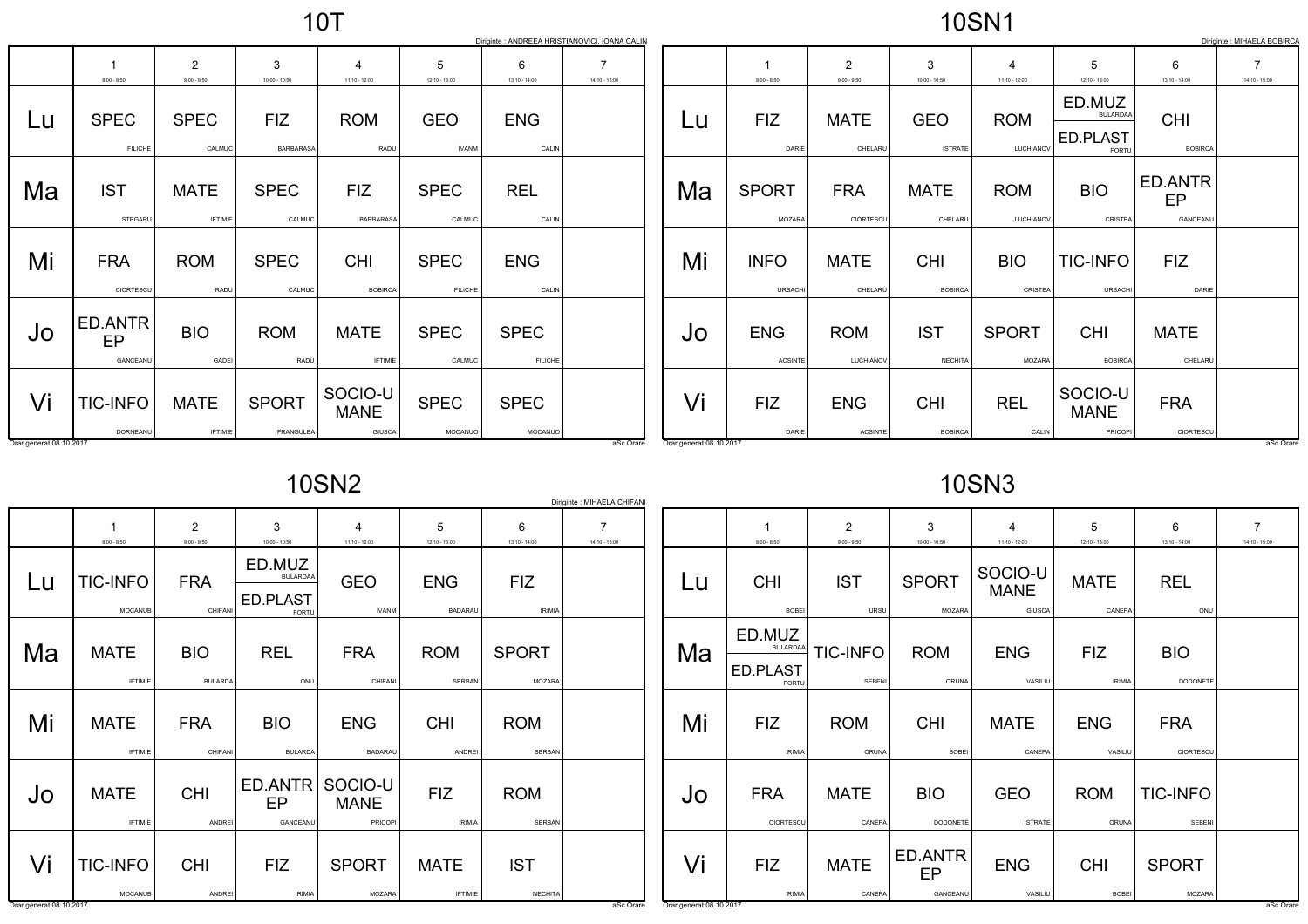|                         |                               |                                 |                           |                                         |                               | Diriginte : ANDREEA HRISTIANOVICI, IOANA CALIN |                                   |                         |                               |                                 |                              |                         |                                                       |                                  | Diriginte : MIHAELA BOBIRCA       |
|-------------------------|-------------------------------|---------------------------------|---------------------------|-----------------------------------------|-------------------------------|------------------------------------------------|-----------------------------------|-------------------------|-------------------------------|---------------------------------|------------------------------|-------------------------|-------------------------------------------------------|----------------------------------|-----------------------------------|
|                         | $8:00 - 8:50$                 | $\overline{2}$<br>$9:00 - 9:50$ | 3<br>$10:00 - 10:50$      | $11:10 - 12:00$                         | 5<br>$12:10 - 13:00$          | 6<br>$13:10 - 14:00$                           | $\overline{7}$<br>$14:10 - 15:00$ |                         | $8:00 - 8:50$                 | $\overline{2}$<br>$9:00 - 9:50$ | 3<br>$10:00 - 10:50$         | 4<br>$11:10 - 12:00$    | $12:10 - 13:00$                                       | 6<br>$13:10 - 14:00$             | $\overline{7}$<br>$14:10 - 15:00$ |
| Lu                      | <b>SPEC</b><br><b>FILICHE</b> | <b>SPEC</b><br>CALMUC           | <b>FIZ</b><br>BARBARASA   | <b>ROM</b><br>RADU                      | <b>GEO</b><br><b>IVANM</b>    | <b>ENG</b><br>CALIN                            |                                   | Lu                      | <b>FIZ</b><br>DARIE           | <b>MATE</b><br>CHELARU          | <b>GEO</b><br><b>ISTRATE</b> | <b>ROM</b><br>LUCHIANOV | ED.MUZ<br><b>BULARDAA</b><br>ED.PLAST<br><b>FORTU</b> | <b>CHI</b><br><b>BOBIRCA</b>     |                                   |
| Ma                      | <b>IST</b><br>STEGARU         | <b>MATE</b><br><b>IFTIMIE</b>   | <b>SPEC</b><br>CALMUC     | <b>FIZ</b><br><b>BARBARASA</b>          | <b>SPEC</b><br>CALMUC         | <b>REL</b><br>CALIN                            |                                   | Ma                      | <b>SPORT</b><br><b>MOZARA</b> | <b>FRA</b><br>CIORTESCU         | <b>MATE</b><br>CHELARU       | <b>ROM</b><br>LUCHIANOV | <b>BIO</b><br>CRISTEA                                 | <b>ED.ANTR</b><br>EP<br>GANCEANU |                                   |
| Mi                      | <b>FRA</b><br>CIORTESCU       | <b>ROM</b><br>RADU              | <b>SPEC</b><br>CALMUC     | <b>CHI</b><br><b>BOBIRCA</b>            | <b>SPEC</b><br><b>FILICHE</b> | <b>ENG</b><br>CALIN                            |                                   | Mi                      | <b>INFO</b><br><b>URSACH</b>  | <b>MATE</b><br>CHELARU          | <b>CHI</b><br><b>BOBIRCA</b> | <b>BIO</b><br>CRISTEA   | <b>TIC-INFO</b><br>URSACHI                            | <b>FIZ</b><br>DARIE              |                                   |
| Jo                      | ED.ANTR<br>EP<br>GANCEANU     | <b>BIO</b><br>GADEI             | <b>ROM</b><br>RADU        | <b>MATE</b><br><b>IFTIMIE</b>           | <b>SPEC</b><br>CALMUC         | <b>SPEC</b><br><b>FILICHE</b>                  |                                   | JO                      | <b>ENG</b><br><b>ACSINTE</b>  | <b>ROM</b><br>LUCHIANOV         | <b>IST</b><br><b>NECHITA</b> | <b>SPORT</b><br>MOZARA  | <b>CHI</b><br><b>BOBIRCA</b>                          | <b>MATE</b><br>CHELARU           |                                   |
| Vi                      | <b>TIC-INFO</b><br>DORNEANU   | <b>MATE</b><br><b>IFTIMIE</b>   | <b>SPORT</b><br>FRANGULEA | SOCIO-U<br><b>MANE</b><br><b>GIUSCA</b> | <b>SPEC</b><br>MOCANUO        | <b>SPEC</b><br>MOCANUO                         |                                   | Vi                      | <b>FIZ</b><br>DARIE           | <b>ENG</b><br><b>ACSINTE</b>    | <b>CHI</b><br><b>BOBIRCA</b> | <b>REL</b><br>CALIN     | SOCIO-U<br><b>MANE</b><br>PRICOPI                     | <b>FRA</b><br>CIORTESCU          |                                   |
| Orar generat:08.10.2017 |                               |                                 |                           |                                         |                               |                                                | aSc Orare                         | Orar generat:08.10.2017 |                               |                                 |                              |                         |                                                       |                                  | aSc Orare                         |

10SN2

|                 | Diriginte : MIHAELA CHIFANI |  |
|-----------------|-----------------------------|--|
| 6               |                             |  |
| $13:10 - 14:00$ | $14:10 - 15:00$             |  |
|                 |                             |  |

|    | 1<br>$8:00 - 8:50$            | $\overline{2}$<br>$9:00 - 9:50$ | 3<br>$10:00 - 10:50$         | 4<br>11:10 - 12:00                               | 5<br>12:10 - 13:00          | 6<br>13:10 - 14:00          | 7<br>14:10 - 15:00 |
|----|-------------------------------|---------------------------------|------------------------------|--------------------------------------------------|-----------------------------|-----------------------------|--------------------|
| Lu | <b>TIC-INFO</b>               | <b>FRA</b>                      | ED.MUZ<br><b>BULARDAA</b>    | <b>GEO</b>                                       | <b>ENG</b>                  | <b>FIZ</b>                  |                    |
|    | <b>MOCANUB</b>                | CHIFANI                         | ED.PLAST<br><b>FORTU</b>     | <b>IVANM</b>                                     | <b>BADARAU</b>              | <b>IRIMIA</b>               |                    |
| Ma | <b>MATE</b><br><b>IFTIMIE</b> | <b>BIO</b><br><b>BULARDA</b>    | <b>REL</b><br>ONU            | <b>FRA</b><br>CHIFANI                            | <b>ROM</b><br>SERBAN        | <b>SPORT</b><br>MOZARA      |                    |
| Mi | <b>MATE</b><br><b>IFTIMIE</b> | <b>FRA</b><br>CHIFANI           | <b>BIO</b><br><b>BULARDA</b> | <b>ENG</b><br><b>BADARAU</b>                     | <b>CHI</b><br>ANDREI        | <b>ROM</b><br><b>SERBAN</b> |                    |
| Jo | <b>MATE</b><br><b>IFTIMIE</b> | <b>CHI</b><br><b>ANDREI</b>     | EP<br>GANCEANU               | ED.ANTR SOCIO-U<br><b>MANE</b><br><b>PRICOPI</b> | <b>FIZ</b><br><b>IRIMIA</b> | <b>ROM</b><br><b>SERBAN</b> |                    |
| Vi | <b>TIC-INFO</b>               | <b>CHI</b>                      | <b>FIZ</b>                   | <b>SPORT</b>                                     | <b>MATE</b>                 | <b>IST</b>                  |                    |
|    | <b>MOCANUB</b>                | ANDREI                          | <b>IRIMIA</b>                | MOZARA                                           | <b>IFTIMIE</b>              | <b>NECHITA</b>              |                    |

asconare and the contract of the contract of the contract of the contract of the contract of the contract of the contract of the contract of the contract of the contract of the contract of the contract of the contract of t

Orar generat:08.10.2017

 $\mathbf{I}$ 

10SN3

|    | 1<br>$8:00 - 8:50$                    | $\overline{2}$<br>$9:00 - 9:50$         | 3<br>$10:00 - 10:50$          | 4<br>$11:10 - 12:00$         | 5<br>$12:10 - 13:00$        | 6<br>$13:10 - 14:00$      | 7<br>$14:10 - 15:00$ |
|----|---------------------------------------|-----------------------------------------|-------------------------------|------------------------------|-----------------------------|---------------------------|----------------------|
| Lu | <b>CHI</b><br><b>BOBEI</b>            | <b>IST</b>                              | <b>SPORT</b>                  | SOCIO-U<br><b>MANE</b>       | <b>MATE</b>                 | <b>REL</b>                |                      |
| Ma | ED.MUZ<br><b>BULARDAA</b><br>ED.PLAST | <b>TIC-INFO</b><br>SEBENI               | <b>ROM</b><br>ORUNA           | <b>ENG</b><br>VASILIU        | <b>FIZ</b><br><b>IRIMIA</b> | <b>BIO</b><br>DODONETE    |                      |
| Mi | <b>FIZ</b><br><b>IRIMIA</b>           | <b>ROM</b><br>ORUNA                     | <b>CHI</b><br><b>BOBEI</b>    | <b>MATE</b><br>CANEPA        | <b>ENG</b><br>VASILIU       | <b>FRA</b><br>CIORTESCU   |                      |
| Jo | <b>FRA</b><br>CIORTESCU               | <b>MATE</b><br>CANEPA                   | <b>BIO</b><br><b>DODONETE</b> | <b>GEO</b><br><b>ISTRATE</b> | <b>ROM</b><br>ORUNA         | <b>TIC-INFO</b><br>SEBENI |                      |
| Vi | <b>FIZ</b><br><b>IRIMIA</b>           | <b>MATE</b><br>CANEPA                   | ED.ANTR<br>EP<br>GANCEANU     | <b>ENG</b><br>VASILIU        | <b>CHI</b><br><b>BOBEI</b>  | <b>SPORT</b><br>MOZARA    |                      |
|    |                                       | <b>FORTU</b><br>Orar generat:08.10.2017 | URSU                          | MOZARA                       | GIUSCA                      | CANEPA                    | ONU                  |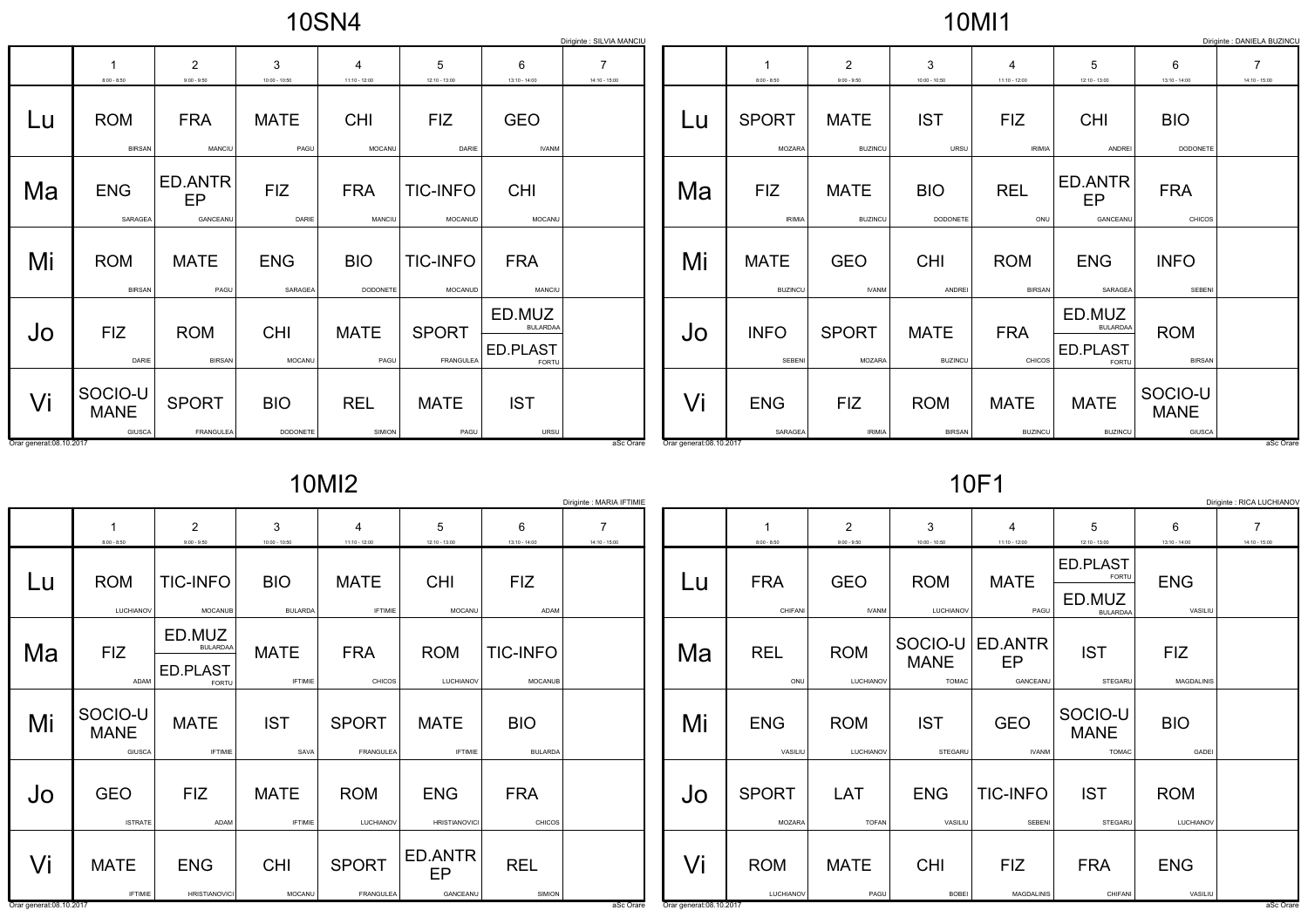10MI1

|                         | Diriginte : DANIELA BUZINCL<br>Diriginte : SILVIA MANCIU |                                 |                        |                                   |                                  |                                                |                                   |                          |                               |                                 |                               |                                   |                                                |                                  |                                   |
|-------------------------|----------------------------------------------------------|---------------------------------|------------------------|-----------------------------------|----------------------------------|------------------------------------------------|-----------------------------------|--------------------------|-------------------------------|---------------------------------|-------------------------------|-----------------------------------|------------------------------------------------|----------------------------------|-----------------------------------|
|                         | $8:00 - 8:50$                                            | $\overline{2}$<br>$9:00 - 9:50$ | 3<br>$10:00 - 10:50$   | $\overline{4}$<br>$11:10 - 12:00$ | 5<br>$12:10 - 13:00$             | 6<br>$13:10 - 14:00$                           | $\overline{7}$<br>$14:10 - 15:00$ |                          | $8:00 - 8:50$                 | $\overline{2}$<br>$9:00 - 9:50$ | 3<br>$10:00 - 10:50$          | $\overline{4}$<br>$11:10 - 12:00$ | 5<br>$12:10 - 13:00$                           | 6<br>$13:10 - 14:00$             | $\overline{7}$<br>$14:10 - 15:00$ |
| Lu                      | <b>ROM</b><br><b>BIRSAN</b>                              | <b>FRA</b><br>MANCIU            | <b>MATE</b><br>PAGU    | <b>CHI</b><br>MOCANU              | <b>FIZ</b><br>DARIE              | <b>GEO</b><br><b>IVANM</b>                     |                                   | Lu                       | <b>SPORT</b><br><b>MOZARA</b> | <b>MATE</b><br><b>BUZINCU</b>   | <b>IST</b><br>URSU            | <b>FIZ</b><br><b>IRIMIA</b>       | <b>CHI</b><br>ANDREI                           | <b>BIO</b><br>DODONETE           |                                   |
| Ma                      | <b>ENG</b><br>SARAGEA                                    | ED.ANTR<br>EP<br>GANCEANU       | <b>FIZ</b><br>DARIE    | <b>FRA</b><br>MANCIU              | <b>TIC-INFO</b><br>MOCANUD       | <b>CHI</b><br>MOCANU                           |                                   | Ma                       | <b>FIZ</b><br><b>IRIMIA</b>   | <b>MATE</b><br><b>BUZINCU</b>   | <b>BIO</b><br>DODONETE        | <b>REL</b><br>ONU                 | ED.ANTR<br>EP<br>GANCEANU                      | <b>FRA</b><br><b>CHICOS</b>      |                                   |
| Mi                      | <b>ROM</b><br><b>BIRSAN</b>                              | <b>MATE</b><br>PAGU             | <b>ENG</b><br>SARAGEA  | <b>BIO</b><br>DODONETE            | <b>TIC-INFO</b><br>MOCANUD       | <b>FRA</b><br><b>MANCIU</b>                    |                                   | Mi                       | <b>MATE</b><br><b>BUZINCU</b> | <b>GEO</b><br><b>IVANM</b>      | <b>CHI</b><br>ANDREI          | <b>ROM</b><br><b>BIRSAN</b>       | <b>ENG</b><br>SARAGEA                          | <b>INFO</b><br>SEBENI            |                                   |
| Jo                      | <b>FIZ</b><br>DARIE                                      | <b>ROM</b><br><b>BIRSAN</b>     | <b>CHI</b><br>MOCANU   | <b>MATE</b><br>PAGU               | <b>SPORT</b><br><b>FRANGULEA</b> | ED.MUZ<br><b>BULARDAA</b><br>ED.PLAST<br>FORTU |                                   | Jo                       | <b>INFO</b><br>SEBENI         | <b>SPORT</b><br><b>MOZARA</b>   | <b>MATE</b><br><b>BUZINCU</b> | <b>FRA</b><br>CHICOS              | ED.MUZ<br><b>BULARDAA</b><br>ED.PLAST<br>FORTU | <b>ROM</b><br><b>BIRSAN</b>      |                                   |
| Vi                      | SOCIO-U<br><b>MANE</b><br><b>GIUSCA</b>                  | <b>SPORT</b><br>FRANGULEA       | <b>BIO</b><br>DODONETE | <b>REL</b><br><b>SIMION</b>       | <b>MATE</b><br>PAGU              | <b>IST</b><br><b>URSU</b>                      |                                   | Vi                       | <b>ENG</b><br>SARAGEA         | <b>FIZ</b><br><b>IRIMIA</b>     | <b>ROM</b><br><b>BIRSAN</b>   | <b>MATE</b><br><b>BUZINCU</b>     | <b>MATE</b><br><b>BUZINCU</b>                  | SOCIO-U<br><b>MANE</b><br>GIUSCA |                                   |
| Orar generat:08.10.2017 |                                                          |                                 |                        |                                   |                                  |                                                | aSc Orare                         | Orar generat: 08.10.2017 |                               |                                 |                               |                                   |                                                |                                  | aSc Orare                         |

10MI2

10F1

|                         |                                  |                                                |                               |                               |                                    |                              | Diriginte : MARIA IFTIMIE |                         |                         |                            |                             |                                          |                                                |                          | Diriginte : RICA LUCHIANOV |
|-------------------------|----------------------------------|------------------------------------------------|-------------------------------|-------------------------------|------------------------------------|------------------------------|---------------------------|-------------------------|-------------------------|----------------------------|-----------------------------|------------------------------------------|------------------------------------------------|--------------------------|----------------------------|
|                         |                                  | 2                                              | 3                             |                               | 5                                  | 6                            | $\overline{7}$            |                         |                         | $\overline{2}$             | 3                           | $\overline{4}$                           | 5                                              | 6                        | $\overline{7}$             |
|                         | $8:00 - 8:50$                    | $9:00 - 9:50$                                  | $10:00 - 10:50$               | $11:10 - 12:00$               | $12:10 - 13:00$                    | $13:10 - 14:00$              | $14:10 - 15:00$           |                         | $8:00 - 8:50$           | $9:00 - 9:50$              | $10:00 - 10:50$             | $11:10 - 12:00$                          | $12:10 - 13:00$                                | $13:10 - 14:00$          | $14:10 - 15:00$            |
| Lu                      | <b>ROM</b><br>LUCHIANOV          | <b>TIC-INFO</b><br>MOCANUB                     | <b>BIO</b><br><b>BULARDA</b>  | <b>MATE</b><br><b>IFTIMIE</b> | <b>CHI</b><br>MOCANU               | <b>FIZ</b><br>ADAM           |                           | Lu                      | <b>FRA</b><br>CHIFANI   | <b>GEO</b><br><b>IVANM</b> | <b>ROM</b><br>LUCHIANOV     | <b>MATE</b><br>PAGU                      | ED.PLAST<br>FORTU<br>ED.MUZ<br><b>BULARDAA</b> | <b>ENG</b><br>VASILIU    |                            |
| Ma                      | <b>FIZ</b><br>ADAM               | ED.MUZ<br><b>BULARDAA</b><br>ED.PLAST<br>FORTU | <b>MATE</b><br><b>IFTIMIE</b> | <b>FRA</b><br>CHICOS          | <b>ROM</b><br>LUCHIANOV            | <b>TIC-INFO</b><br>MOCANUB   |                           | Ma                      | <b>REL</b><br>ONU       | <b>ROM</b><br>LUCHIANOV    | <b>MANE</b><br><b>TOMAC</b> | SOCIO-U ED.ANTR<br><b>EP</b><br>GANCEANU | <b>IST</b><br>STEGARU                          | <b>FIZ</b><br>MAGDALINIS |                            |
| Mi                      | SOCIO-U<br><b>MANE</b><br>GIUSCA | <b>MATE</b><br><b>IFTIMIE</b>                  | <b>IST</b><br>SAVA            | <b>SPORT</b><br>FRANGULEA     | <b>MATE</b><br><b>IFTIMIE</b>      | <b>BIO</b><br><b>BULARDA</b> |                           | Mi                      | <b>ENG</b><br>VASILIU   | <b>ROM</b><br>LUCHIANOV    | <b>IST</b><br>STEGARU       | <b>GEO</b><br><b>IVANM</b>               | SOCIO-U<br><b>MANE</b><br><b>TOMAC</b>         | <b>BIO</b><br>GADEI      |                            |
| Jo                      | <b>GEO</b><br><b>ISTRATE</b>     | <b>FIZ</b><br>ADAM                             | <b>MATE</b><br><b>IFTIMIE</b> | <b>ROM</b><br>LUCHIANOV       | <b>ENG</b><br><b>HRISTIANOVICI</b> | <b>FRA</b><br><b>CHICOS</b>  |                           | JO                      | <b>SPORT</b><br>MOZARA  | LAT<br><b>TOFAN</b>        | <b>ENG</b><br>VASILIU       | <b>TIC-INFO</b><br>SEBENI                | <b>IST</b><br>STEGARU                          | <b>ROM</b><br>LUCHIANOV  |                            |
| Vi                      | <b>MATE</b><br><b>IFTIMIE</b>    | <b>ENG</b><br><b>HRISTIANOVICI</b>             | <b>CHI</b><br>MOCANU          | <b>SPORT</b><br>FRANGULEA     | ED.ANTR<br>EP<br>GANCEANU          | <b>REL</b><br>SIMION         |                           | Vi                      | <b>ROM</b><br>LUCHIANOV | <b>MATE</b><br>PAGU        | <b>CHI</b><br>BOBEI         | <b>FIZ</b><br>MAGDALINIS                 | <b>FRA</b><br>CHIFANI                          | <b>ENG</b><br>VASILIU    |                            |
| Orar generat:08.10.2017 |                                  |                                                |                               |                               |                                    |                              | aSc Orare                 | Orar generat:08.10.2017 |                         |                            |                             |                                          |                                                |                          | aSc Orare                  |
|                         |                                  |                                                |                               |                               |                                    |                              |                           |                         |                         |                            |                             |                                          |                                                |                          |                            |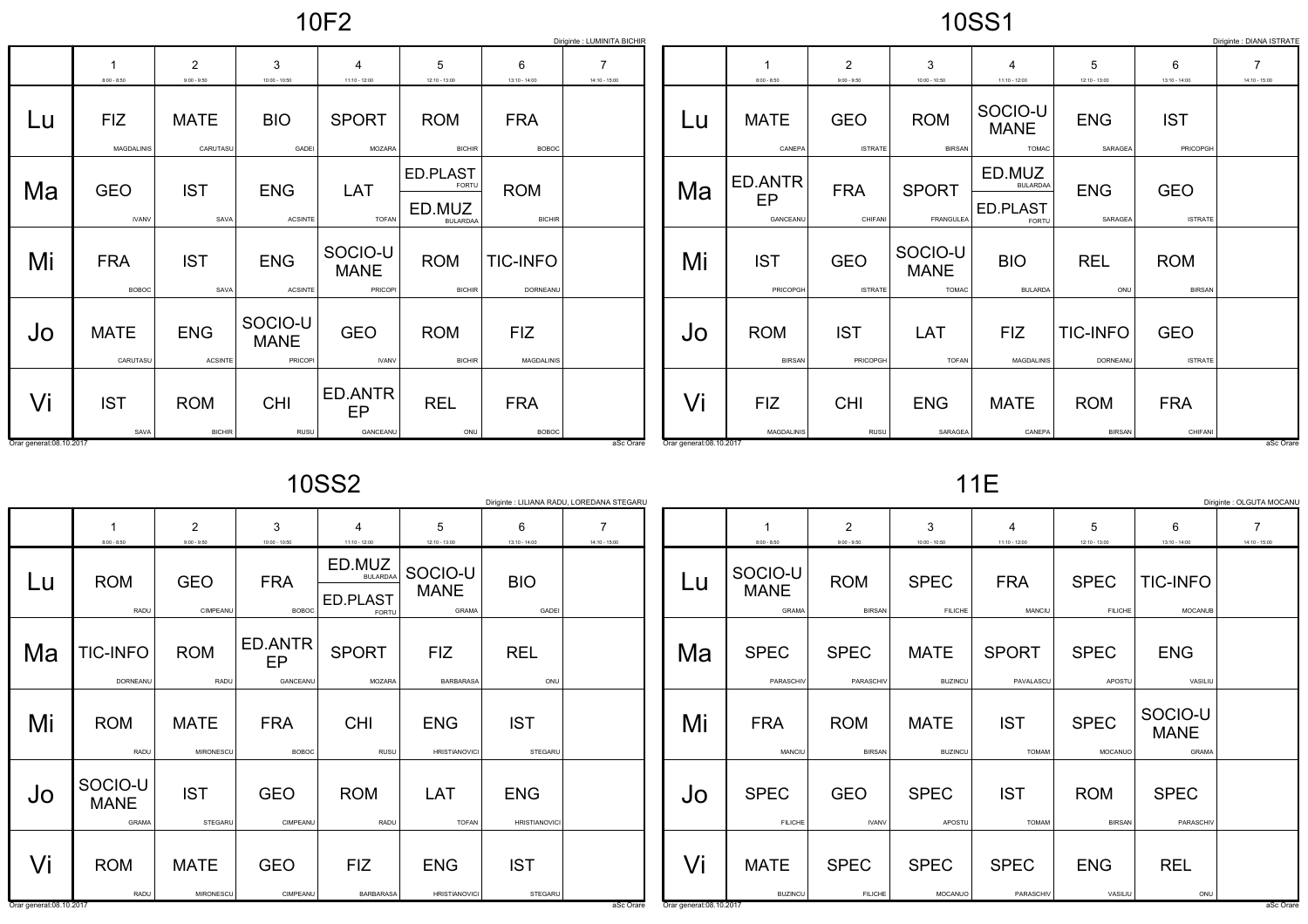|--|--|--|

10SS1

|                         |                                 |                              |                                   |                                   |                             |                             | Diriginte : LUMINITA BICHIR |                         |                             |                              |                                        |                                        |                             |                              | Diriginte : DIANA ISTRATE |
|-------------------------|---------------------------------|------------------------------|-----------------------------------|-----------------------------------|-----------------------------|-----------------------------|-----------------------------|-------------------------|-----------------------------|------------------------------|----------------------------------------|----------------------------------------|-----------------------------|------------------------------|---------------------------|
|                         |                                 | 2                            | 3                                 | $\overline{4}$                    | 5                           | 6                           |                             |                         |                             | 2                            | 3                                      | $\overline{\mathcal{A}}$               | 5                           | 6                            |                           |
|                         | $8:00 - 8:50$                   | $9:00 - 9:50$                | $10:00 - 10:50$                   | $11:10 - 12:00$                   | 12:10 - 13:00               | $13:10 - 14:00$             | $14:10 - 15:00$             |                         | $8:00 - 8:50$               | $9:00 - 9:50$                | $10:00 - 10:50$                        | $11:10 - 12:00$                        | $12:10 - 13:00$             | $13:10 - 14:00$              | $14:10 - 15:00$           |
| Lu                      | <b>FIZ</b><br><b>MAGDALINIS</b> | <b>MATE</b><br>CARUTASU      | <b>BIO</b><br>GADEI               | <b>SPORT</b><br>MOZARA            | <b>ROM</b><br><b>BICHIR</b> | <b>FRA</b><br><b>BOBOC</b>  |                             | Lu                      | <b>MATE</b><br>CANEPA       | <b>GEO</b><br><b>ISTRATE</b> | <b>ROM</b><br><b>BIRSAN</b>            | SOCIO-U<br><b>MANE</b><br><b>TOMAC</b> | <b>ENG</b><br>SARAGEA       | <b>IST</b><br>PRICOPGH       |                           |
|                         |                                 |                              |                                   |                                   |                             |                             |                             |                         |                             |                              |                                        |                                        |                             |                              |                           |
|                         |                                 |                              |                                   |                                   | ED.PLAST                    |                             |                             |                         | ED.ANTR                     |                              |                                        | ED.MUZ                                 |                             |                              |                           |
| Ma                      | <b>GEO</b>                      | <b>IST</b>                   | <b>ENG</b>                        | LAT                               | FORTU                       | <b>ROM</b>                  |                             | Ma                      | EP                          | <b>FRA</b>                   | <b>SPORT</b>                           | <b>BULARDAA</b>                        | <b>ENG</b>                  | <b>GEO</b>                   |                           |
|                         |                                 |                              |                                   |                                   | ED.MUZ                      |                             |                             |                         |                             |                              |                                        | ED.PLAST                               |                             |                              |                           |
|                         | <b>IVANV</b>                    | SAVA                         | <b>ACSINTE</b>                    | <b>TOFAN</b>                      | <b>BULARDAA</b>             | <b>BICHIR</b>               |                             |                         | GANCEANU                    | CHIFANI                      | FRANGULEA                              | FORTU                                  | SARAGEA                     | <b>ISTRATE</b>               |                           |
| Mi                      | <b>FRA</b><br><b>BOBOC</b>      | <b>IST</b><br>SAVA           | <b>ENG</b><br><b>ACSINTE</b>      | SOCIO-U<br><b>MANE</b><br>PRICOPI | <b>ROM</b><br><b>BICHIR</b> | <b>TIC-INFO</b><br>DORNEANU |                             | Mi                      | <b>IST</b><br>PRICOPGH      | <b>GEO</b><br><b>ISTRATE</b> | SOCIO-U<br><b>MANE</b><br><b>TOMAC</b> | <b>BIO</b><br><b>BULARDA</b>           | <b>REL</b><br>ONU           | <b>ROM</b><br><b>BIRSAN</b>  |                           |
|                         |                                 |                              |                                   |                                   |                             |                             |                             |                         |                             |                              |                                        |                                        |                             |                              |                           |
| Jo                      | <b>MATE</b><br>CARUTASU         | <b>ENG</b><br><b>ACSINTE</b> | SOCIO-U<br><b>MANE</b><br>PRICOPI | <b>GEO</b><br><b>IVANV</b>        | <b>ROM</b><br><b>BICHIR</b> | <b>FIZ</b><br>MAGDALINIS    |                             | JO                      | <b>ROM</b><br><b>BIRSAN</b> | <b>IST</b><br>PRICOPGH       | LAT<br><b>TOFAN</b>                    | <b>FIZ</b><br><b>MAGDALINIS</b>        | <b>TIC-INFO</b><br>DORNEANU | <b>GEO</b><br><b>ISTRATE</b> |                           |
|                         |                                 |                              |                                   |                                   |                             |                             |                             |                         |                             |                              |                                        |                                        |                             |                              |                           |
| Vi                      | <b>IST</b>                      | <b>ROM</b>                   | <b>CHI</b>                        | ED.ANTR<br>EP                     | <b>REL</b>                  | <b>FRA</b>                  |                             | Vi                      | <b>FIZ</b>                  | <b>CHI</b>                   | <b>ENG</b>                             | <b>MATE</b>                            | <b>ROM</b>                  | <b>FRA</b>                   |                           |
|                         | SAVA                            | <b>BICHIR</b>                | RUSU                              | GANCEANU                          | ONU                         | <b>BOBOC</b>                |                             |                         | MAGDALINIS                  | RUSU                         | SARAGEA                                | CANEPA                                 | <b>BIRSAN</b>               | CHIFANI                      |                           |
| Orar generat:08.10.2017 |                                 |                              |                                   |                                   |                             |                             | aSc Orare                   | Orar generat:08.10.2017 |                             |                              |                                        |                                        |                             |                              | aSc Orare                 |

10SS2

|                          | Diriginte : OLGUTA MOCANU<br>Diriginte : LILIANA RADU, LOREDANA STEGARL<br>$\overline{7}$<br>$\overline{7}$<br>2<br>3<br>5<br>$\overline{2}$<br>3<br>5<br>6<br>6<br>$\overline{4}$<br>4 |                                 |                            |                                                       |                                    |                                    |                 |                         |                                 |                             |                               |                            |                               |                                 |                 |
|--------------------------|-----------------------------------------------------------------------------------------------------------------------------------------------------------------------------------------|---------------------------------|----------------------------|-------------------------------------------------------|------------------------------------|------------------------------------|-----------------|-------------------------|---------------------------------|-----------------------------|-------------------------------|----------------------------|-------------------------------|---------------------------------|-----------------|
|                          | $8:00 - 8:50$                                                                                                                                                                           | $9:00 - 9:50$                   | $10:00 - 10:50$            | $11:10 - 12:00$                                       | $12:10 - 13:00$                    | $13:10 - 14:00$                    | $14:10 - 15:00$ |                         | $8:00 - 8:50$                   | $9:00 - 9:50$               | $10:00 - 10:50$               | $11:10 - 12:00$            | $12:10 - 13:00$               | $13:10 - 14:00$                 | $14:10 - 15:00$ |
| Lu                       | <b>ROM</b><br>RADU                                                                                                                                                                      | <b>GEO</b><br>CIMPEANU          | <b>FRA</b><br><b>BOBOC</b> | ED.MUZ<br><b>BULARDAA</b><br><b>ED.PLAST</b><br>FORTU | SOCIO-U<br><b>MANE</b><br>GRAMA    | <b>BIO</b><br>GADEI                |                 | Lu                      | SOCIO-U<br><b>MANE</b><br>GRAMA | <b>ROM</b><br><b>BIRSAN</b> | <b>SPEC</b><br><b>FILICHE</b> | <b>FRA</b><br>MANCIU       | <b>SPEC</b><br><b>FILICHE</b> | <b>TIC-INFO</b><br>MOCANUE      |                 |
| Ma                       | <b>TIC-INFO</b><br>DORNEANU                                                                                                                                                             | <b>ROM</b><br>RADU              | ED.ANTR<br>EP<br>GANCEANL  | <b>SPORT</b><br>MOZARA                                | <b>FIZ</b><br>BARBARASA            | <b>REL</b><br>ONU                  |                 | Ma                      | <b>SPEC</b><br>PARASCHIV        | <b>SPEC</b><br>PARASCHIV    | <b>MATE</b><br><b>BUZINCU</b> | <b>SPORT</b><br>PAVALASCU  | <b>SPEC</b><br>APOSTU         | <b>ENG</b><br>VASILIU           |                 |
| Mi                       | <b>ROM</b><br>RADU                                                                                                                                                                      | <b>MATE</b><br><b>MIRONESCU</b> | <b>FRA</b><br><b>BOBOC</b> | <b>CHI</b><br>RUSU                                    | <b>ENG</b><br><b>HRISTIANOVICI</b> | <b>IST</b><br>STEGARU              |                 | Mi                      | <b>FRA</b><br>MANCIU            | <b>ROM</b><br><b>BIRSAN</b> | <b>MATE</b><br><b>BUZINCU</b> | <b>IST</b><br><b>TOMAM</b> | <b>SPEC</b><br>MOCANUO        | SOCIO-U<br><b>MANE</b><br>GRAMA |                 |
| Jo                       | SOCIO-U<br><b>MANE</b><br>GRAMA                                                                                                                                                         | <b>IST</b><br>STEGARU           | <b>GEO</b><br>CIMPEANU     | <b>ROM</b><br>RADU                                    | LAT<br><b>TOFAN</b>                | <b>ENG</b><br><b>HRISTIANOVICI</b> |                 | Jo                      | <b>SPEC</b><br><b>FILICHE</b>   | <b>GEO</b><br><b>IVANV</b>  | <b>SPEC</b><br>APOSTU         | <b>IST</b><br><b>TOMAM</b> | <b>ROM</b><br><b>BIRSAN</b>   | <b>SPEC</b><br>PARASCHIV        |                 |
| Vi                       | <b>ROM</b>                                                                                                                                                                              | <b>MATE</b>                     | <b>GEO</b>                 | <b>FIZ</b>                                            | <b>ENG</b>                         | <b>IST</b>                         |                 | Vi                      | <b>MATE</b>                     | <b>SPEC</b>                 | <b>SPEC</b>                   | <b>SPEC</b>                | <b>ENG</b>                    | <b>REL</b>                      |                 |
| Orar generat: 08.10.2017 | RADU                                                                                                                                                                                    | MIRONESCU                       | CIMPEANU                   | <b>BARBARASA</b>                                      | <b>HRISTIANOVICI</b>               | STEGARU                            | aSc Orare       | Orar generat:08.10.2017 | <b>BUZINCU</b>                  | <b>FILICHE</b>              | MOCANUC                       | PARASCHIV                  | VASILIU                       | ONU                             | aSc Orare       |

11E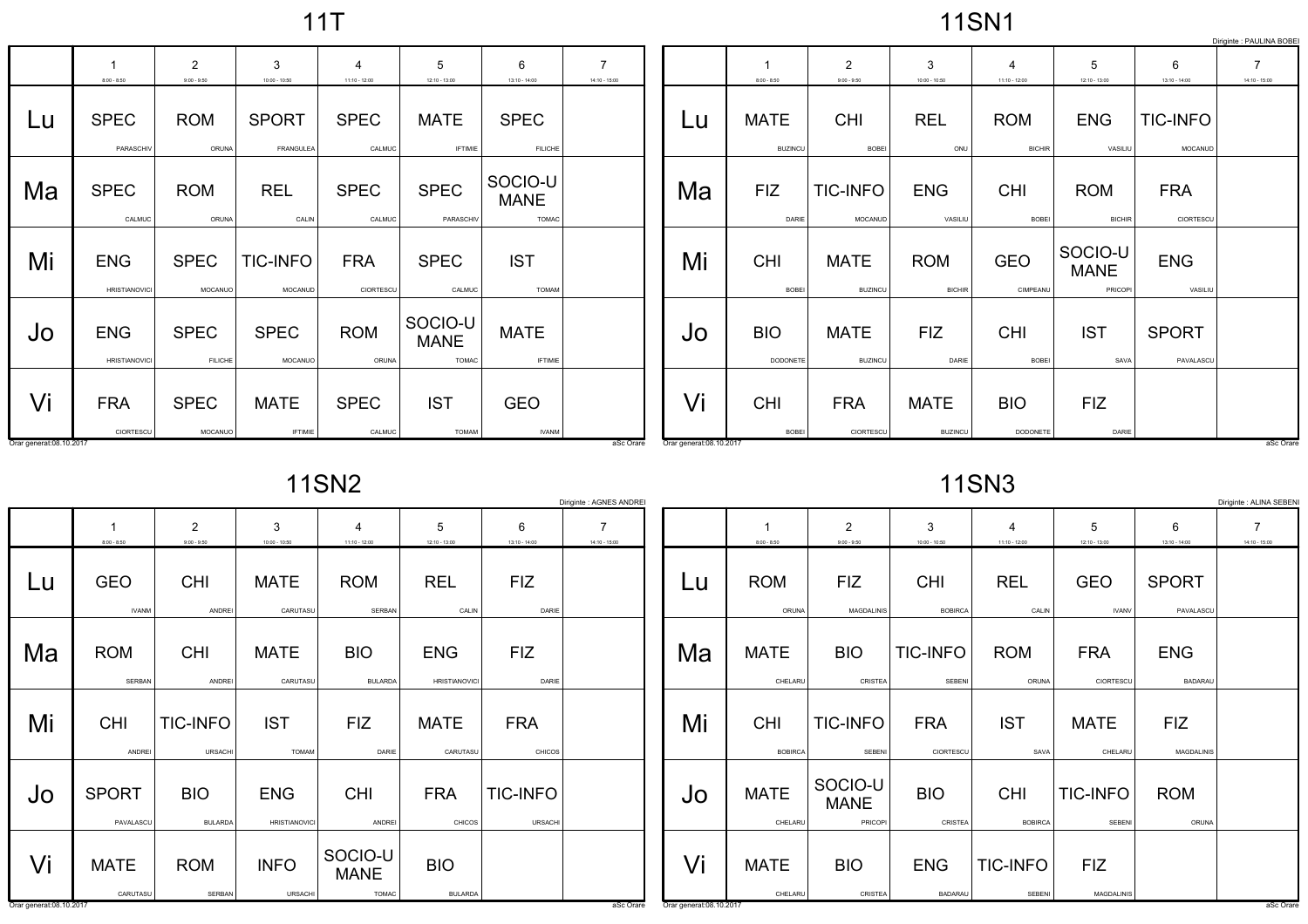11T

11SN1

|                         |                                    |                               |                               |                          |                                        |                                        |                 |                         |                               |                               |                               |                             |                                   |                            | Diriginte : PAULINA BOBE |
|-------------------------|------------------------------------|-------------------------------|-------------------------------|--------------------------|----------------------------------------|----------------------------------------|-----------------|-------------------------|-------------------------------|-------------------------------|-------------------------------|-----------------------------|-----------------------------------|----------------------------|--------------------------|
|                         |                                    | $\overline{2}$                | 3                             | $\overline{\mathcal{L}}$ | 5                                      | 6                                      | $\overline{7}$  |                         |                               | $\overline{2}$                | 3                             | $\boldsymbol{\Delta}$       | 5                                 | 6                          |                          |
|                         | $8:00 - 8:50$                      | $9:00 - 9:50$                 | $10:00 - 10:50$               | $11:10 - 12:00$          | 12:10 - 13:00                          | 13:10 - 14:00                          | $14:10 - 15:00$ |                         | $8:00 - 8:50$                 | $9:00 - 9:50$                 | $10:00 - 10:50$               | $11:10 - 12:00$             | $12:10 - 13:00$                   | $13:10 - 14:00$            | $14:10 - 15:00$          |
| Lu                      | <b>SPEC</b><br>PARASCHIV           | <b>ROM</b><br>ORUNA           | <b>SPORT</b><br>FRANGULEA     | <b>SPEC</b><br>CALMUC    | <b>MATE</b><br><b>IFTIMIE</b>          | <b>SPEC</b><br><b>FILICHE</b>          |                 | Lu                      | <b>MATE</b><br><b>BUZINCU</b> | <b>CHI</b><br><b>BOBEI</b>    | <b>REL</b><br>ONU             | <b>ROM</b><br><b>BICHIR</b> | <b>ENG</b><br>VASILIU             | <b>TIC-INFO</b><br>MOCANUD |                          |
| Ma                      | <b>SPEC</b><br>CALMUC              | <b>ROM</b><br>ORUNA           | <b>REL</b><br>CALIN           | <b>SPEC</b><br>CALMUC    | <b>SPEC</b><br>PARASCHIV               | SOCIO-U<br><b>MANE</b><br><b>TOMAC</b> |                 | Ma                      | <b>FIZ</b><br>DARIE           | <b>TIC-INFO</b><br>MOCANUD    | <b>ENG</b><br>VASILIU         | <b>CHI</b><br>BOBEI         | <b>ROM</b><br><b>BICHIR</b>       | <b>FRA</b><br>CIORTESCU    |                          |
| Mi                      | <b>ENG</b><br><b>HRISTIANOVICI</b> | <b>SPEC</b><br>MOCANUO        | <b>TIC-INFO</b><br>MOCANUD    | <b>FRA</b><br>CIORTESCU  | <b>SPEC</b><br>CALMUC                  | <b>IST</b><br><b>TOMAM</b>             |                 | Mi                      | <b>CHI</b><br>BOBEI           | <b>MATE</b><br><b>BUZINCU</b> | <b>ROM</b><br><b>BICHIR</b>   | <b>GEO</b><br>CIMPEANU      | SOCIO-U<br><b>MANE</b><br>PRICOPI | <b>ENG</b><br>VASILIU      |                          |
| Jo                      | <b>ENG</b><br><b>HRISTIANOVICI</b> | <b>SPEC</b><br><b>FILICHE</b> | <b>SPEC</b><br>MOCANUO        | <b>ROM</b><br>ORUNA      | SOCIO-U<br><b>MANE</b><br><b>TOMAC</b> | <b>MATE</b><br><b>IFTIMIE</b>          |                 | Jo                      | <b>BIO</b><br>DODONETE        | <b>MATE</b><br><b>BUZINCU</b> | <b>FIZ</b><br>DARIE           | <b>CHI</b><br><b>BOBEI</b>  | <b>IST</b><br>SAVA                | <b>SPORT</b><br>PAVALASCU  |                          |
| Vi                      | <b>FRA</b><br>CIORTESCU            | <b>SPEC</b><br>MOCANUO        | <b>MATE</b><br><b>IFTIMIE</b> | <b>SPEC</b><br>CALMUC    | <b>IST</b><br><b>TOMAM</b>             | <b>GEO</b><br><b>IVANM</b>             |                 | Vi                      | <b>CHI</b><br><b>BOBEI</b>    | <b>FRA</b><br>CIORTESCU       | <b>MATE</b><br><b>BUZINCU</b> | <b>BIO</b><br>DODONETE      | <b>FIZ</b><br>DARIE               |                            |                          |
| Orar generat:08.10.2017 |                                    |                               |                               |                          |                                        |                                        | aSc Orare       | Orar generat:08.10.2017 |                               |                               |                               |                             |                                   |                            | aSc Orare                |

11SN2

| <b>11SN3</b> |  |
|--------------|--|
|--------------|--|

|                         |                            |                                   |                                    |                              |                                    |                            | Diriginte : AGNES ANDRE                     |                         |                              |                                   |                                  |                              |                            |                              | Diriginte : ALINA SEBEN           |
|-------------------------|----------------------------|-----------------------------------|------------------------------------|------------------------------|------------------------------------|----------------------------|---------------------------------------------|-------------------------|------------------------------|-----------------------------------|----------------------------------|------------------------------|----------------------------|------------------------------|-----------------------------------|
|                         | $8:00 - 8:50$              | $\overline{2}$<br>$9:00 - 9:50$   | 3<br>$10:00 - 10:50$               | 4<br>$11:10 - 12:00$         | 5<br>$12:10 - 13:00$               | 6<br>$13:10 - 14:00$       | $\overline{\phantom{a}}$<br>$14:10 - 15:00$ |                         | $8:00 - 8:50$                | $\overline{2}$<br>$9:00 - 9:50$   | 3<br>$10:00 - 10:50$             | 4<br>$11:10 - 12:00$         | 5<br>$12:10 - 13:00$       | 6<br>$13:10 - 14:00$         | $\overline{7}$<br>$14:10 - 15:00$ |
| Lu                      | <b>GEO</b><br><b>IVANM</b> | <b>CHI</b><br>ANDREI              | <b>MATE</b><br>CARUTASL            | <b>ROM</b><br>SERBAN         | <b>REL</b><br>CALIN                | <b>FIZ</b><br>DARIE        |                                             | Lu                      | <b>ROM</b><br>ORUNA          | <b>FIZ</b><br>MAGDALINIS          | <b>CHI</b><br><b>BOBIRCA</b>     | <b>REL</b><br>CALIN          | <b>GEO</b><br><b>IVANV</b> | <b>SPORT</b><br>PAVALASCU    |                                   |
| Ma                      | <b>ROM</b><br>SERBAN       | CHI<br>ANDREI                     | <b>MATE</b><br>CARUTASL            | <b>BIO</b><br><b>BULARDA</b> | <b>ENG</b><br><b>HRISTIANOVICI</b> | <b>FIZ</b><br>DARIE        |                                             | Ma                      | <b>MATE</b><br>CHELARU       | <b>BIO</b><br>CRISTEA             | <b>TIC-INFO</b><br><b>SEBENI</b> | <b>ROM</b><br>ORUNA          | <b>FRA</b><br>CIORTESCU    | <b>ENG</b><br><b>BADARAU</b> |                                   |
| Mi                      | <b>CHI</b><br>ANDREI       | <b>TIC-INFO</b><br><b>URSACHI</b> | <b>IST</b><br><b>TOMAM</b>         | <b>FIZ</b><br>DARIE          | <b>MATE</b><br>CARUTASU            | <b>FRA</b><br>CHICOS       |                                             | Mi                      | <b>CHI</b><br><b>BOBIRCA</b> | <b>TIC-INFO</b><br>SEBENI         | <b>FRA</b><br>CIORTESCU          | <b>IST</b><br>SAVA           | <b>MATE</b><br>CHELARU     | <b>FIZ</b><br>MAGDALINIS     |                                   |
| Jo                      | <b>SPORT</b><br>PAVALASCL  | <b>BIO</b><br><b>BULARDA</b>      | <b>ENG</b><br><b>HRISTIANOVICI</b> | <b>CHI</b><br>ANDREI         | <b>FRA</b><br><b>CHICOS</b>        | <b>TIC-INFO</b><br>URSACHI |                                             | JO                      | <b>MATE</b><br>CHELARU       | SOCIO-U<br><b>MANE</b><br>PRICOPI | <b>BIO</b><br>CRISTEA            | <b>CHI</b><br><b>BOBIRCA</b> | <b>TIC-INFO</b><br>SEBENI  | <b>ROM</b><br>ORUNA          |                                   |
| Vi                      | <b>MATE</b>                | <b>ROM</b>                        | <b>INFO</b>                        | SOCIO-U<br><b>MANE</b>       | <b>BIO</b>                         |                            |                                             | Vi                      | <b>MATE</b>                  | <b>BIO</b>                        | <b>ENG</b>                       | <b>TIC-INFO</b>              | <b>FIZ</b>                 |                              |                                   |
| Orar generat:08.10.2017 | CARUTASU                   | SERBAN                            | <b>URSACHI</b>                     | TOMAC                        | <b>BULARDA</b>                     |                            | aSc Orare                                   | Orar generat:08.10.2017 | CHELARU                      | CRISTEA                           | <b>BADARAU</b>                   | SEBENI                       | <b>MAGDALINIS</b>          |                              | aSc Orare                         |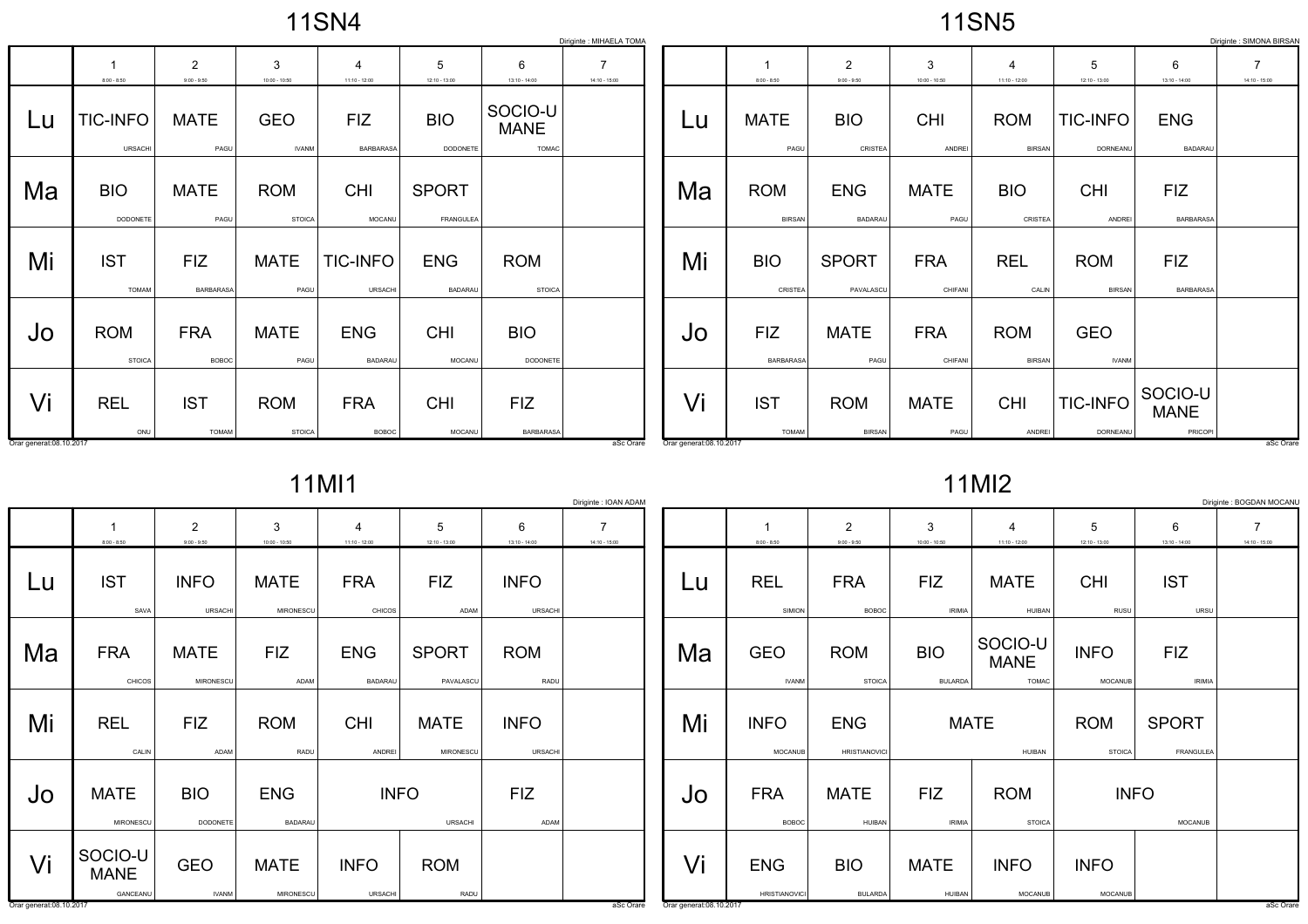|  |  | <b>11SN4</b> |  |  |
|--|--|--------------|--|--|
|--|--|--------------|--|--|

|                         | Diriginte : SIMONA BIRSAN<br>Diriginte : MIHAELA TOMA |                                 |                             |                                   |                              |                                        |                                   |                         |                              |                                 |                       |                                   |                             |                                   |                                   |
|-------------------------|-------------------------------------------------------|---------------------------------|-----------------------------|-----------------------------------|------------------------------|----------------------------------------|-----------------------------------|-------------------------|------------------------------|---------------------------------|-----------------------|-----------------------------------|-----------------------------|-----------------------------------|-----------------------------------|
|                         | $8:00 - 8:50$                                         | $\overline{2}$<br>$9:00 - 9:50$ | 3<br>$10:00 - 10:50$        | $\overline{4}$<br>$11:10 - 12:00$ | 5<br>12:10 - 13:00           | 6<br>$13:10 - 14:00$                   | $\overline{7}$<br>$14:10 - 15:00$ |                         | $8:00 - 8:50$                | $\overline{2}$<br>$9:00 - 9:50$ | 3<br>$10:00 - 10:50$  | $\overline{4}$<br>$11:10 - 12:00$ | 5<br>$12:10 - 13:00$        | 6<br>$13:10 - 14:00$              | $\overline{7}$<br>$14:10 - 15:00$ |
| Lu                      | <b>TIC-INFO</b><br><b>URSACHI</b>                     | <b>MATE</b><br>PAGU             | <b>GEO</b><br><b>IVANM</b>  | <b>FIZ</b><br>BARBARASA           | <b>BIO</b><br>DODONETE       | SOCIO-U<br><b>MANE</b><br><b>TOMAC</b> |                                   | Lu                      | <b>MATE</b><br>PAGU          | <b>BIO</b><br>CRISTEA           | <b>CHI</b><br>ANDREI  | <b>ROM</b><br><b>BIRSAN</b>       | <b>TIC-INFO</b><br>DORNEANU | <b>ENG</b><br><b>BADARAU</b>      |                                   |
| Ma                      | <b>BIO</b><br>DODONETE                                | <b>MATE</b><br>PAGU             | <b>ROM</b><br><b>STOICA</b> | <b>CHI</b><br>MOCANU              | <b>SPORT</b><br>FRANGULEA    |                                        |                                   | Ma                      | <b>ROM</b><br><b>BIRSAN</b>  | <b>ENG</b><br><b>BADARAU</b>    | <b>MATE</b><br>PAGU   | <b>BIO</b><br>CRISTEA             | <b>CHI</b><br>ANDREI        | <b>FIZ</b><br>BARBARASA           |                                   |
| Mi                      | <b>IST</b><br><b>TOMAM</b>                            | <b>FIZ</b><br><b>BARBARASA</b>  | <b>MATE</b><br>PAGU         | <b>TIC-INFO</b><br><b>URSACHI</b> | <b>ENG</b><br><b>BADARAU</b> | <b>ROM</b><br><b>STOICA</b>            |                                   | Mi                      | <b>BIO</b><br><b>CRISTEA</b> | <b>SPORT</b><br>PAVALASCU       | <b>FRA</b><br>CHIFANI | <b>REL</b><br>CALIN               | <b>ROM</b><br><b>BIRSAN</b> | <b>FIZ</b><br><b>BARBARASA</b>    |                                   |
| Jo                      | <b>ROM</b><br><b>STOICA</b>                           | <b>FRA</b><br><b>BOBOC</b>      | <b>MATE</b><br>PAGU         | <b>ENG</b><br><b>BADARAU</b>      | <b>CHI</b><br>MOCANU         | <b>BIO</b><br>DODONETE                 |                                   | Jo                      | <b>FIZ</b><br>BARBARASA      | <b>MATE</b><br>PAGU             | <b>FRA</b><br>CHIFANI | <b>ROM</b><br><b>BIRSAN</b>       | <b>GEO</b><br><b>IVANM</b>  |                                   |                                   |
| Vi                      | <b>REL</b><br>ONU                                     | <b>IST</b><br><b>TOMAM</b>      | <b>ROM</b><br><b>STOICA</b> | <b>FRA</b><br><b>BOBOC</b>        | <b>CHI</b><br>MOCANU         | <b>FIZ</b><br><b>BARBARASA</b>         |                                   | Vi                      | <b>IST</b><br><b>TOMAM</b>   | <b>ROM</b><br><b>BIRSAN</b>     | <b>MATE</b><br>PAGU   | <b>CHI</b><br>ANDREI              | <b>TIC-INFO</b><br>DORNEANU | SOCIO-U<br><b>MANE</b><br>PRICOPI |                                   |
| Orar generat:08.10.2017 |                                                       |                                 |                             |                                   |                              |                                        | aSc Orare                         | Orar generat:08.10.2017 |                              |                                 |                       |                                   |                             |                                   | aSc Orare                         |

11MI1

|                               | Diriginte : IOAN ADAM<br>Diriginte : BOGDAN MOCANL |                                 |                          |                                   |                           |                               |                                   |                                |                                    |                                    |                              |                                        |                               |                             |                                   |
|-------------------------------|----------------------------------------------------|---------------------------------|--------------------------|-----------------------------------|---------------------------|-------------------------------|-----------------------------------|--------------------------------|------------------------------------|------------------------------------|------------------------------|----------------------------------------|-------------------------------|-----------------------------|-----------------------------------|
|                               | -1<br>$8:00 - 8:50$                                | $\overline{2}$<br>$9:00 - 9:50$ | 3<br>$10:00 - 10:50$     | $\overline{4}$<br>$11:10 - 12:00$ | 5<br>$12:10 - 13:00$      | 6<br>$13:10 - 14:00$          | $\overline{7}$<br>$14:10 - 15:00$ |                                | $8:00 - 8:50$                      | $\overline{2}$<br>$9:00 - 9:50$    | 3<br>$10:00 - 10:50$         | $\overline{4}$<br>$11:10 - 12:00$      | 5<br>$12:10 - 13:00$          | 6<br>$13:10 - 14:00$        | $\overline{7}$<br>$14:10 - 15:00$ |
| Lu                            | <b>IST</b><br>SAVA                                 | <b>INFO</b><br>URSACHI          | <b>MATE</b><br>MIRONESCU | <b>FRA</b><br>CHICOS              | <b>FIZ</b><br>ADAM        | <b>INFO</b><br>URSACHI        |                                   | Lu                             | <b>REL</b><br>SIMION               | <b>FRA</b><br><b>BOBOC</b>         | <b>FIZ</b><br><b>IRIMIA</b>  | <b>MATE</b><br><b>HUIBAN</b>           | <b>CHI</b><br>RUSU            | <b>IST</b><br>URSU          |                                   |
| Ma                            | <b>FRA</b><br>CHICOS                               | <b>MATE</b><br>MIRONESCU        | <b>FIZ</b><br>ADAM       | <b>ENG</b><br><b>BADARAU</b>      | <b>SPORT</b><br>PAVALASCU | <b>ROM</b><br>RADU            |                                   | Ma                             | <b>GEO</b><br><b>IVANM</b>         | <b>ROM</b><br><b>STOICA</b>        | <b>BIO</b><br><b>BULARDA</b> | SOCIO-U<br><b>MANE</b><br><b>TOMAC</b> | <b>INFO</b><br><b>MOCANUB</b> | <b>FIZ</b><br><b>IRIMIA</b> |                                   |
| Mi                            | <b>REL</b><br>CALIN                                | <b>FIZ</b><br>ADAM              | <b>ROM</b><br>RADU       | <b>CHI</b><br>ANDREI              | <b>MATE</b><br>MIRONESCU  | <b>INFO</b><br><b>URSACHI</b> |                                   | Mi                             | <b>INFO</b><br><b>MOCANUB</b>      | <b>ENG</b><br><b>HRISTIANOVICI</b> | <b>MATE</b>                  | <b>HUIBAN</b>                          | <b>ROM</b><br><b>STOICA</b>   | <b>SPORT</b><br>FRANGULEA   |                                   |
| Jo                            | <b>MATE</b><br>MIRONESCU                           | <b>BIO</b><br>DODONETE          | <b>ENG</b><br>BADARAU    | <b>INFO</b>                       | URSACHI                   | <b>FIZ</b><br>ADAM            |                                   | Jo                             | <b>FRA</b><br><b>BOBOC</b>         | <b>MATE</b><br><b>HUIBAN</b>       | <b>FIZ</b><br><b>IRIMIA</b>  | <b>ROM</b><br><b>STOICA</b>            |                               | <b>INFO</b><br>MOCANUB      |                                   |
| Vi<br>Orar generat:08.10.2017 | SOCIO-U<br><b>MANE</b><br>GANCEANU                 | <b>GEO</b><br><b>IVANM</b>      | <b>MATE</b><br>MIRONESCU | <b>INFO</b><br>URSACHI            | <b>ROM</b><br>RADU        |                               | aSc Orare                         | Vi<br>Orar generat: 08.10.2017 | <b>ENG</b><br><b>HRISTIANOVICI</b> | <b>BIO</b><br><b>BULARDA</b>       | <b>MATE</b><br>HUIBAN        | <b>INFO</b><br><b>MOCANUB</b>          | <b>INFO</b><br><b>MOCANUB</b> |                             | aSc Orare                         |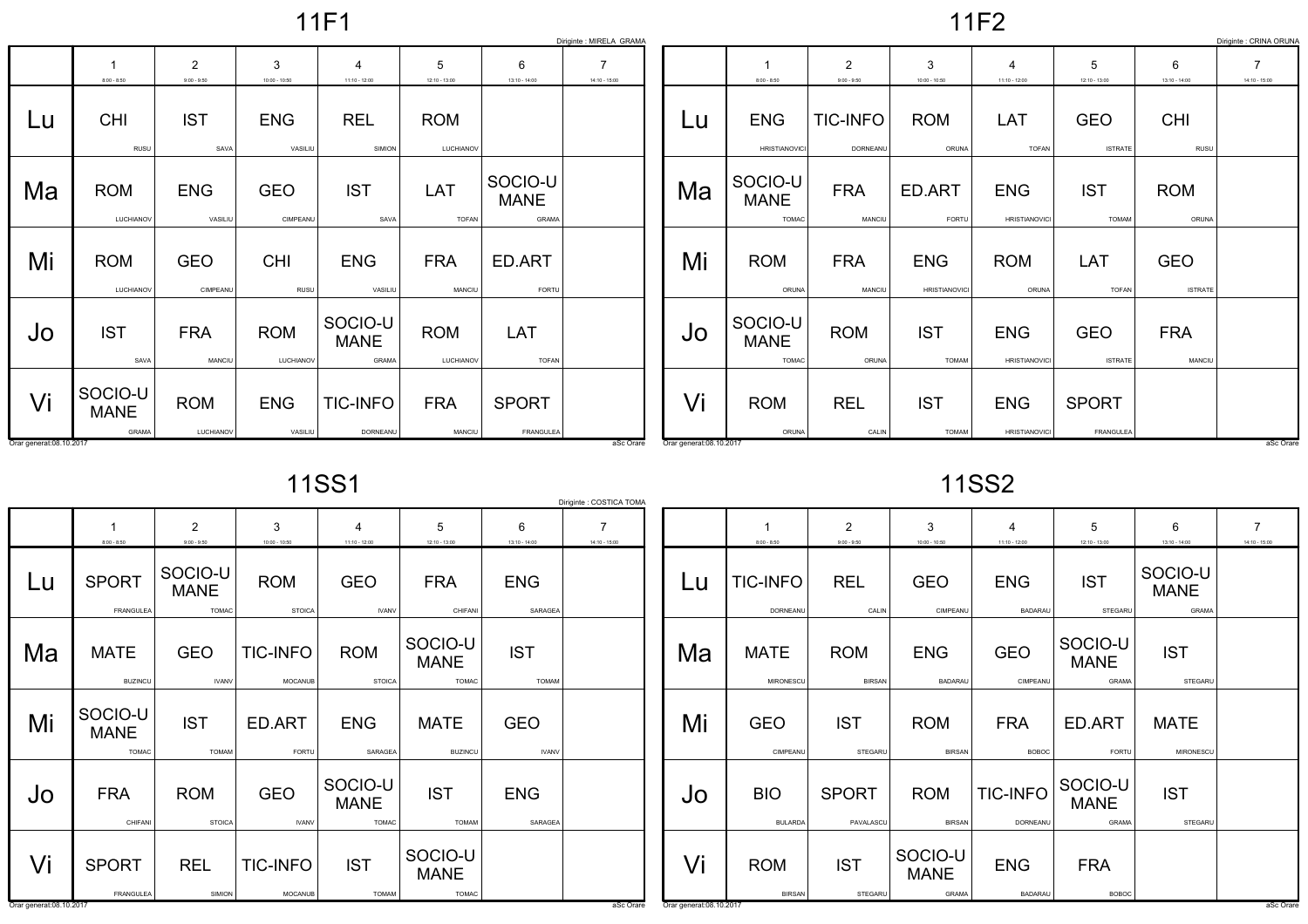11F1

11F2

|                         | Diriginte : MIRELA GRAMA<br>Diriginte : CRINA ORUNA |                                 |                         |                                   |                         |                                 |                                   |                          |                                        |                                 |                                    |                                    |                              |                              |                                   |
|-------------------------|-----------------------------------------------------|---------------------------------|-------------------------|-----------------------------------|-------------------------|---------------------------------|-----------------------------------|--------------------------|----------------------------------------|---------------------------------|------------------------------------|------------------------------------|------------------------------|------------------------------|-----------------------------------|
|                         | $8:00 - 8:50$                                       | $\overline{2}$<br>$9:00 - 9:50$ | 3<br>$10:00 - 10:50$    | $\overline{4}$<br>$11:10 - 12:00$ | 5<br>$12:10 - 13:00$    | 6<br>$13:10 - 14:00$            | $\overline{7}$<br>$14:10 - 15:00$ |                          | $8:00 - 8:50$                          | $\overline{2}$<br>$9:00 - 9:50$ | 3<br>$10:00 - 10:50$               | $\overline{4}$<br>$11:10 - 12:00$  | 5<br>$12:10 - 13:00$         | 6<br>$13:10 - 14:00$         | $\overline{7}$<br>$14:10 - 15:00$ |
| Lu                      | <b>CHI</b><br>RUSU                                  | <b>IST</b><br>SAVA              | <b>ENG</b><br>VASILIU   | <b>REL</b><br>SIMION              | <b>ROM</b><br>LUCHIANOV |                                 |                                   | Lu                       | <b>ENG</b><br><b>HRISTIANOVIC</b>      | <b>TIC-INFO</b><br>DORNEANU     | <b>ROM</b><br>ORUNA                | LAT<br><b>TOFAN</b>                | <b>GEO</b><br><b>ISTRATE</b> | <b>CHI</b><br>RUSU           |                                   |
| Ma                      | <b>ROM</b><br>LUCHIANOV                             | <b>ENG</b><br>VASILIU           | <b>GEO</b><br>CIMPEANU  | <b>IST</b><br>SAVA                | LAT<br><b>TOFAN</b>     | SOCIO-U<br><b>MANE</b><br>GRAMA |                                   | Ma                       | SOCIO-U<br><b>MANE</b><br><b>TOMAC</b> | <b>FRA</b><br>MANCIU            | ED.ART<br>FORTU                    | <b>ENG</b><br><b>HRISTIANOVICI</b> | <b>IST</b><br><b>TOMAM</b>   | <b>ROM</b><br>ORUNA          |                                   |
| Mi                      | <b>ROM</b><br>LUCHIANOV                             | <b>GEO</b><br>CIMPEANU          | <b>CHI</b><br>RUSU      | <b>ENG</b><br>VASILIU             | <b>FRA</b><br>MANCIU    | ED.ART<br>FORTU                 |                                   | Mi                       | <b>ROM</b><br>ORUNA                    | <b>FRA</b><br>MANCIU            | <b>ENG</b><br><b>HRISTIANOVICI</b> | <b>ROM</b><br>ORUNA                | LAT<br><b>TOFAN</b>          | <b>GEO</b><br><b>ISTRATE</b> |                                   |
| Jo                      | <b>IST</b><br>SAVA                                  | <b>FRA</b><br>MANCIU            | <b>ROM</b><br>LUCHIANOV | SOCIO-U<br><b>MANE</b><br>GRAMA   | <b>ROM</b><br>LUCHIANOV | LAT<br><b>TOFAN</b>             |                                   | Jo                       | SOCIO-U<br><b>MANE</b><br><b>TOMAC</b> | <b>ROM</b><br>ORUNA             | <b>IST</b><br><b>TOMAM</b>         | <b>ENG</b><br><b>HRISTIANOVICI</b> | <b>GEO</b><br><b>ISTRATE</b> | <b>FRA</b><br>MANCIU         |                                   |
| Vi                      | SOCIO-U<br><b>MANE</b><br>GRAMA                     | <b>ROM</b><br>LUCHIANOV         | <b>ENG</b><br>VASILIU   | <b>TIC-INFO</b><br>DORNEANU       | <b>FRA</b><br>MANCIU    | <b>SPORT</b><br>FRANGULEA       |                                   | Vi                       | <b>ROM</b><br>ORUNA                    | <b>REL</b><br>CALIN             | <b>IST</b><br><b>TOMAM</b>         | <b>ENG</b><br><b>HRISTIANOVICI</b> | <b>SPORT</b><br>FRANGULEA    |                              | aSc Orare                         |
| Orar generat:08.10.2017 |                                                     |                                 |                         |                                   |                         |                                 | aSc Orare                         | Orar generat: 08.10.2017 |                                        |                                 |                                    |                                    |                              |                              |                                   |

11SS1

| 11SS2 |  |
|-------|--|
|-------|--|

|                         | Diriginte : COSTICA TOMA               |                                        |                             |                                            |                                        |                            |                                   |                         |                              |                                 |                              |                              |                                 |                                        |                                   |
|-------------------------|----------------------------------------|----------------------------------------|-----------------------------|--------------------------------------------|----------------------------------------|----------------------------|-----------------------------------|-------------------------|------------------------------|---------------------------------|------------------------------|------------------------------|---------------------------------|----------------------------------------|-----------------------------------|
|                         | $8:00 - 8:50$                          | $\overline{2}$<br>$9:00 - 9:50$        | 3<br>$10:00 - 10:50$        | $\overline{\mathbf{4}}$<br>$11:10 - 12:00$ | 5<br>$12:10 - 13:00$                   | 6<br>$13:10 - 14:00$       | $\overline{7}$<br>$14:10 - 15:00$ |                         | $8:00 - 8:50$                | $\overline{2}$<br>$9:00 - 9:50$ | 3<br>$10:00 - 10:50$         | $11:10 - 12:00$              | 5<br>$12:10 - 13:00$            | 6<br>$13:10 - 14:00$                   | $\overline{7}$<br>$14:10 - 15:00$ |
| Lu                      | <b>SPORT</b><br>FRANGULEA              | SOCIO-U<br><b>MANE</b><br><b>TOMAC</b> | <b>ROM</b><br><b>STOICA</b> | <b>GEO</b><br><b>IVANV</b>                 | <b>FRA</b><br>CHIFANI                  | <b>ENG</b><br>SARAGEA      |                                   | Lu                      | <b>TIC-INFO</b><br>DORNEANU  | <b>REL</b><br>CALIN             | <b>GEO</b><br>CIMPEANU       | <b>ENG</b><br><b>BADARAL</b> | <b>IST</b><br>STEGARU           | SOCIO-U<br><b>MANE</b><br><b>GRAMA</b> |                                   |
| Ma                      | <b>MATE</b><br><b>BUZINCU</b>          | <b>GEO</b><br><b>IVANV</b>             | <b>TIC-INFO</b><br>MOCANUB  | <b>ROM</b><br><b>STOICA</b>                | SOCIO-U<br><b>MANE</b><br><b>TOMAC</b> | <b>IST</b><br><b>TOMAM</b> |                                   | Ma                      | <b>MATE</b><br>MIRONESCU     | <b>ROM</b><br><b>BIRSAN</b>     | <b>ENG</b><br><b>BADARAU</b> | <b>GEO</b><br>CIMPEANU       | SOCIO-U<br><b>MANE</b><br>GRAMA | <b>IST</b><br><b>STEGARU</b>           |                                   |
| Mi                      | SOCIO-U<br><b>MANE</b><br><b>TOMAC</b> | <b>IST</b><br><b>TOMAM</b>             | ED.ART<br>FORTU             | <b>ENG</b><br>SARAGEA                      | <b>MATE</b><br><b>BUZINCU</b>          | <b>GEO</b><br><b>IVANV</b> |                                   | Mi                      | <b>GEO</b><br>CIMPEANU       | <b>IST</b><br>STEGARU           | <b>ROM</b><br><b>BIRSAN</b>  | <b>FRA</b><br><b>BOBOC</b>   | ED.ART<br>FORTU                 | <b>MATE</b><br>MIRONESCU               |                                   |
| Jo                      | <b>FRA</b><br>CHIFANI                  | <b>ROM</b><br><b>STOICA</b>            | <b>GEO</b><br><b>IVANV</b>  | SOCIO-U<br><b>MANE</b><br><b>TOMAC</b>     | <b>IST</b><br><b>TOMAM</b>             | <b>ENG</b><br>SARAGEA      |                                   | Jo                      | <b>BIO</b><br><b>BULARDA</b> | <b>SPORT</b><br>PAVALASCU       | <b>ROM</b><br><b>BIRSAN</b>  | <b>TIC-INFO</b><br>DORNEANU  | SOCIO-U<br><b>MANE</b><br>GRAMA | <b>IST</b><br>STEGARU                  |                                   |
| Vi                      | <b>SPORT</b>                           | <b>REL</b>                             | <b>TIC-INFO</b>             | <b>IST</b>                                 | SOCIO-U<br><b>MANE</b>                 |                            |                                   | Vi                      | <b>ROM</b>                   | <b>IST</b>                      | SOCIO-U<br><b>MANE</b>       | <b>ENG</b>                   | <b>FRA</b>                      |                                        |                                   |
| Orar generat:08.10.2017 | FRANGULEA                              | SIMION                                 | MOCANUE                     | <b>TOMAM</b>                               | <b>TOMAC</b>                           |                            | aSc Orare                         | Orar generat:08.10.2017 | <b>BIRSAN</b>                | STEGARU                         | GRAMA                        | <b>BADARAU</b>               | <b>BOBOC</b>                    |                                        | aSc Orare                         |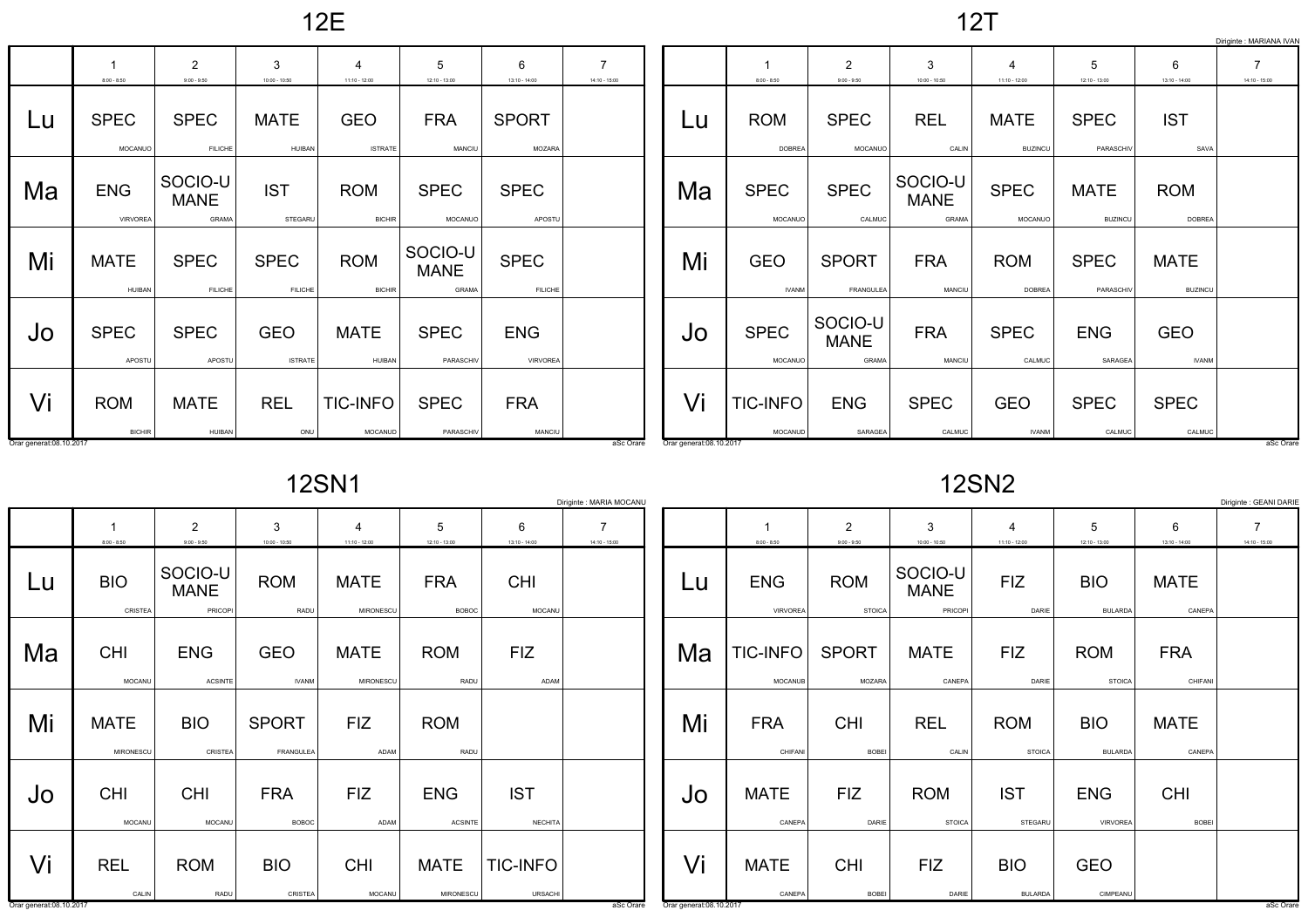12E

12T

|                         | Diriginte : MARIANA IVAN      |                                 |                               |                              |                                 |                               |                                   |                         |                             |                                 |                                 |                                     |                               |                               |                                   |
|-------------------------|-------------------------------|---------------------------------|-------------------------------|------------------------------|---------------------------------|-------------------------------|-----------------------------------|-------------------------|-----------------------------|---------------------------------|---------------------------------|-------------------------------------|-------------------------------|-------------------------------|-----------------------------------|
|                         | $8:00 - 8:50$                 | $\overline{2}$<br>$9:00 - 9:50$ | 3<br>$10:00 - 10:50$          | $11:10 - 12:00$              | 5<br>$12:10 - 13:00$            | 6<br>$13:10 - 14:00$          | $\overline{7}$<br>$14:10 - 15:00$ |                         | $8:00 - 8:50$               | $\overline{2}$<br>$9:00 - 9:50$ | 3<br>$10:00 - 10:50$            | $\boldsymbol{4}$<br>$11:10 - 12:00$ | 5<br>$12:10 - 13:00$          | 6<br>$13:10 - 14:00$          | $\overline{7}$<br>$14:10 - 15:00$ |
| Lu                      | <b>SPEC</b><br>MOCANUO        | <b>SPEC</b><br><b>FILICHE</b>   | <b>MATE</b><br>HUIBAN         | <b>GEO</b><br><b>ISTRATE</b> | <b>FRA</b><br>MANCIU            | <b>SPORT</b><br>MOZARA        |                                   | Lu                      | <b>ROM</b><br><b>DOBREA</b> | <b>SPEC</b><br>MOCANUO          | <b>REL</b><br>CALIN             | <b>MATE</b><br><b>BUZINCU</b>       | <b>SPEC</b><br>PARASCHIV      | <b>IST</b><br>SAVA            |                                   |
| Ma                      | <b>ENG</b><br><b>VIRVOREA</b> | SOCIO-U<br><b>MANE</b><br>GRAMA | <b>IST</b><br>STEGARL         | <b>ROM</b><br><b>BICHIR</b>  | <b>SPEC</b><br>MOCANUO          | <b>SPEC</b><br>APOSTL         |                                   | Ma                      | <b>SPEC</b><br>MOCANUO      | <b>SPEC</b><br>CALMUC           | SOCIO-U<br><b>MANE</b><br>GRAMA | <b>SPEC</b><br>MOCANUC              | <b>MATE</b><br><b>BUZINCU</b> | <b>ROM</b><br><b>DOBREA</b>   |                                   |
| Mi                      | <b>MATE</b><br><b>HUIBAN</b>  | <b>SPEC</b><br><b>FILICHE</b>   | <b>SPEC</b><br><b>FILICHE</b> | <b>ROM</b><br><b>BICHIR</b>  | SOCIO-U<br><b>MANE</b><br>GRAMA | <b>SPEC</b><br><b>FILICHE</b> |                                   | Mi                      | <b>GEO</b><br><b>IVANM</b>  | <b>SPORT</b><br>FRANGULEA       | <b>FRA</b><br>MANCIU            | <b>ROM</b><br><b>DOBREA</b>         | <b>SPEC</b><br>PARASCHIV      | <b>MATE</b><br><b>BUZINCU</b> |                                   |
| Jo                      | <b>SPEC</b><br>APOSTU         | <b>SPEC</b><br>APOSTU           | <b>GEO</b><br><b>ISTRATE</b>  | <b>MATE</b><br>HUIBAN        | <b>SPEC</b><br>PARASCHIV        | <b>ENG</b><br><b>VIRVOREA</b> |                                   | Jo                      | <b>SPEC</b><br>MOCANUO      | SOCIO-U<br><b>MANE</b><br>GRAMA | <b>FRA</b><br>MANCIU            | <b>SPEC</b><br>CALMUC               | <b>ENG</b><br>SARAGEA         | <b>GEO</b><br><b>IVANM</b>    |                                   |
| Vi                      | <b>ROM</b><br><b>BICHIR</b>   | <b>MATE</b><br>HUIBAN           | <b>REL</b><br>ONU             | <b>TIC-INFO</b><br>MOCANUD   | <b>SPEC</b><br>PARASCHIV        | <b>FRA</b><br>MANCIU          |                                   | Vi                      | <b>TIC-INFO</b><br>MOCANUD  | <b>ENG</b><br>SARAGEA           | <b>SPEC</b><br>CALMUC           | <b>GEO</b><br><b>IVANM</b>          | <b>SPEC</b><br>CALMUC         | <b>SPEC</b><br>CALMUC         |                                   |
| Orar generat:08.10.2017 |                               |                                 |                               |                              |                                 |                               | aSc Orare                         | Orar generat:08.10.2017 |                             |                                 |                                 |                                     |                               |                               | aSc Orare                         |

12SN1

12SN2

|                         | Diriginte : GEANI DARIE<br>Diriginte : MARIA MOCANU |                                   |                            |                                   |                              |                              |                                   |                          |                                   |                                 |                                   |                              |                              |                       |                                   |
|-------------------------|-----------------------------------------------------|-----------------------------------|----------------------------|-----------------------------------|------------------------------|------------------------------|-----------------------------------|--------------------------|-----------------------------------|---------------------------------|-----------------------------------|------------------------------|------------------------------|-----------------------|-----------------------------------|
|                         | $8:00 - 8:50$                                       | $\overline{2}$<br>$9:00 - 9:50$   | 3<br>$10:00 - 10:50$       | $\overline{4}$<br>$11:10 - 12:00$ | 5<br>$12:10 - 13:00$         | 6<br>$13:10 - 14:00$         | $\overline{7}$<br>$14:10 - 15:00$ |                          | $8:00 - 8:50$                     | $\overline{2}$<br>$9:00 - 9:50$ | 3<br>$10:00 - 10:50$              | 4<br>$11:10 - 12:00$         | 5<br>12:10 - 13:00           | 6<br>$13:10 - 14:00$  | $\overline{7}$<br>$14:10 - 15:00$ |
| Lu                      | <b>BIO</b><br>CRISTEA                               | SOCIO-U<br><b>MANE</b><br>PRICOPI | <b>ROM</b><br>RADU         | <b>MATE</b><br>MIRONESCU          | <b>FRA</b><br><b>BOBOC</b>   | <b>CHI</b><br>MOCANU         |                                   | Lu                       | <b>ENG</b><br>VIRVOREA            | <b>ROM</b><br><b>STOICA</b>     | SOCIO-U<br><b>MANE</b><br>PRICOPI | <b>FIZ</b><br>DARIE          | <b>BIO</b><br><b>BULARDA</b> | <b>MATE</b><br>CANEPA |                                   |
| Ma                      | <b>CHI</b><br>MOCANU                                | <b>ENG</b><br><b>ACSINTE</b>      | <b>GEO</b><br><b>IVANM</b> | <b>MATE</b><br>MIRONESCU          | <b>ROM</b><br>RADU           | <b>FIZ</b><br>ADAM           |                                   | Ma                       | <b>TIC-INFO</b><br><b>MOCANUB</b> | <b>SPORT</b><br><b>MOZARA</b>   | <b>MATE</b><br>CANEPA             | <b>FIZ</b><br>DARIE          | <b>ROM</b><br><b>STOICA</b>  | <b>FRA</b><br>CHIFANI |                                   |
| Mi                      | <b>MATE</b><br>MIRONESCU                            | <b>BIO</b><br>CRISTEA             | <b>SPORT</b><br>FRANGULEA  | <b>FIZ</b><br>ADAM                | <b>ROM</b><br>RADU           |                              |                                   | Mi                       | <b>FRA</b><br>CHIFANI             | <b>CHI</b><br>BOBEI             | <b>REL</b><br>CALIN               | <b>ROM</b><br><b>STOICA</b>  | <b>BIO</b><br><b>BULARDA</b> | <b>MATE</b><br>CANEPA |                                   |
| Jo                      | <b>CHI</b><br>MOCANU                                | <b>CHI</b><br>MOCANU              | <b>FRA</b><br><b>BOBOC</b> | <b>FIZ</b><br>ADAM                | <b>ENG</b><br><b>ACSINTE</b> | <b>IST</b><br><b>NECHITA</b> |                                   | JO                       | <b>MATE</b><br>CANEPA             | <b>FIZ</b><br>DARIE             | <b>ROM</b><br><b>STOICA</b>       | <b>IST</b><br>STEGARU        | <b>ENG</b><br>VIRVOREA       | <b>CHI</b><br>BOBEI   |                                   |
| Vi                      | <b>REL</b><br>CALIN                                 | <b>ROM</b><br>RADU                | <b>BIO</b><br>CRISTEA      | <b>CHI</b><br>MOCANU              | <b>MATE</b><br>MIRONESCU     | <b>TIC-INFO</b><br>URSACHI   |                                   | Vi                       | <b>MATE</b><br>CANEPA             | <b>CHI</b><br>BOBEI             | <b>FIZ</b><br>DARIE               | <b>BIO</b><br><b>BULARDA</b> | <b>GEO</b><br>CIMPEANU       |                       |                                   |
| Orar generat:08.10.2017 |                                                     |                                   |                            |                                   |                              |                              | aSc Orare                         | Orar generat: 08.10.2017 |                                   |                                 |                                   |                              |                              |                       | aSc Orare                         |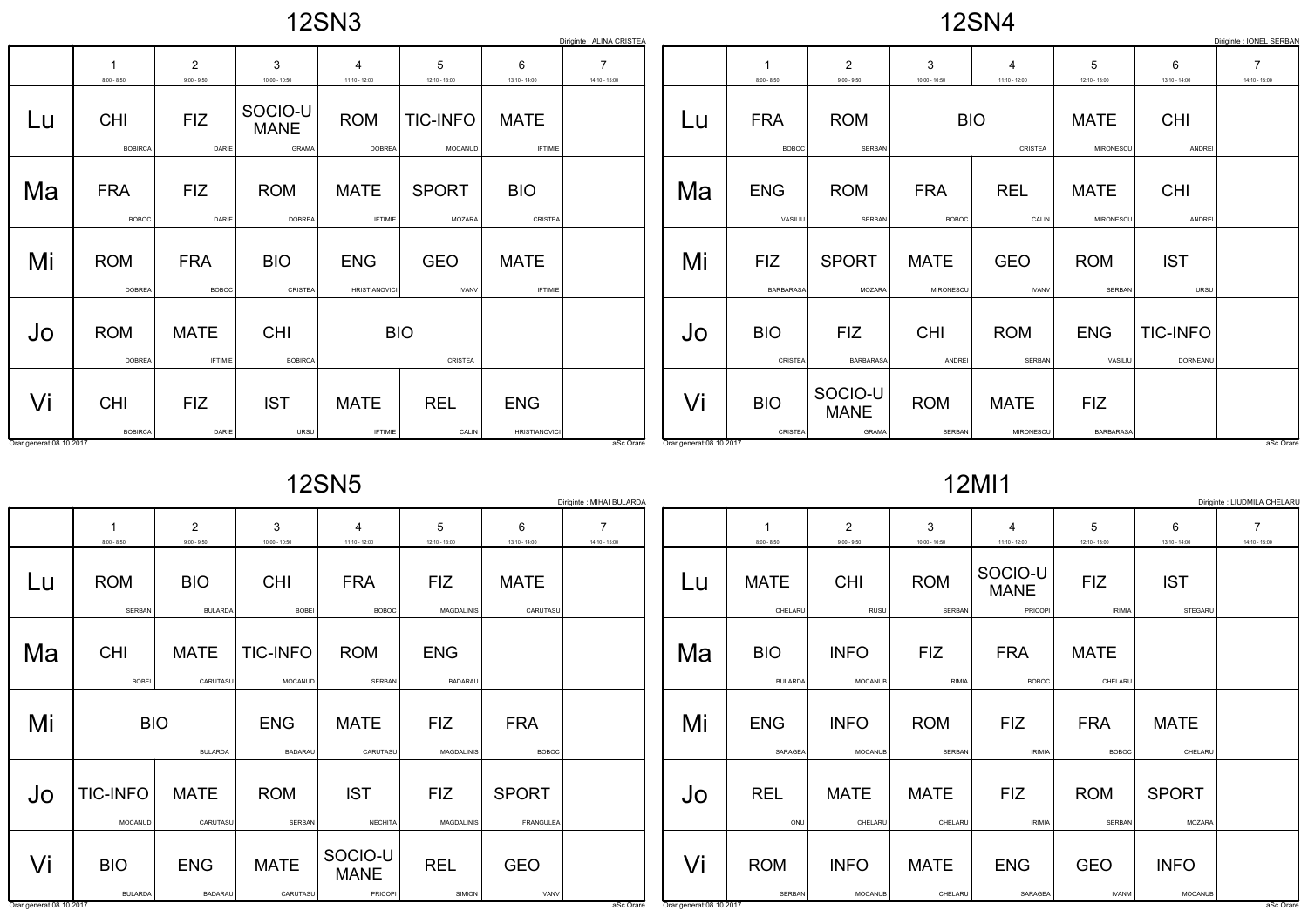| $\overline{\phantom{a}}$ | 2SN <sub>3</sub> |  |  |
|--------------------------|------------------|--|--|
|--------------------------|------------------|--|--|

|                         | Diriginte : IONEL SERBAN<br>Diriginte : ALINA CRISTEA |                                 |                                 |                                    |                            |                                    |                      |                          |                            |                                 |                            |                            |                          |                             |                      |
|-------------------------|-------------------------------------------------------|---------------------------------|---------------------------------|------------------------------------|----------------------------|------------------------------------|----------------------|--------------------------|----------------------------|---------------------------------|----------------------------|----------------------------|--------------------------|-----------------------------|----------------------|
|                         | $8:00 - 8:50$                                         | $\overline{2}$<br>$9:00 - 9:50$ | 3<br>$10:00 - 10:50$            | 4<br>$11:10 - 12:00$               | 5<br>12:10 - 13:00         | 6<br>$13:10 - 14:00$               | 7<br>$14:10 - 15:00$ |                          | $8:00 - 8:50$              | $\overline{2}$<br>$9:00 - 9:50$ | 3<br>$10:00 - 10:50$       | $11:10 - 12:00$            | 5<br>$12:10 - 13:00$     | 6<br>$13:10 - 14:00$        | 7<br>$14:10 - 15:00$ |
| Lu                      | <b>CHI</b><br><b>BOBIRCA</b>                          | <b>FIZ</b><br>DARIE             | SOCIO-U<br><b>MANE</b><br>GRAMA | <b>ROM</b><br><b>DOBREA</b>        | <b>TIC-INFO</b><br>MOCANUD | <b>MATE</b><br><b>IFTIMIE</b>      |                      | Lu                       | <b>FRA</b><br><b>BOBOC</b> | <b>ROM</b><br>SERBAN            | <b>BIO</b>                 | CRISTEA                    | <b>MATE</b><br>MIRONESCL | <b>CHI</b><br>ANDREI        |                      |
| Ma                      | <b>FRA</b><br><b>BOBOC</b>                            | <b>FIZ</b><br>DARIE             | <b>ROM</b><br><b>DOBREA</b>     | <b>MATE</b><br><b>IFTIMIE</b>      | <b>SPORT</b><br>MOZARA     | <b>BIO</b><br>CRISTEA              |                      | Ma                       | <b>ENG</b><br>VASILIU      | <b>ROM</b><br><b>SERBAN</b>     | <b>FRA</b><br><b>BOBOC</b> | <b>REL</b><br>CALIN        | <b>MATE</b><br>MIRONESCL | <b>CHI</b><br>ANDREI        |                      |
| Mi                      | <b>ROM</b><br><b>DOBREA</b>                           | <b>FRA</b><br><b>BOBOC</b>      | <b>BIO</b><br>CRISTEA           | <b>ENG</b><br><b>HRISTIANOVICI</b> | <b>GEO</b><br><b>IVANV</b> | <b>MATE</b><br><b>IFTIMIE</b>      |                      | Mi                       | <b>FIZ</b><br>BARBARASA    | <b>SPORT</b><br>MOZARA          | <b>MATE</b><br>MIRONESCL   | <b>GEO</b><br><b>IVANV</b> | <b>ROM</b><br>SERBAN     | <b>IST</b><br>URSU          |                      |
| Jo                      | <b>ROM</b><br><b>DOBREA</b>                           | <b>MATE</b><br><b>IFTIMIE</b>   | <b>CHI</b><br><b>BOBIRCA</b>    | <b>BIO</b>                         | CRISTEA                    |                                    |                      | Jo                       | <b>BIO</b><br>CRISTEA      | <b>FIZ</b><br><b>BARBARASA</b>  | <b>CHI</b><br>ANDREI       | <b>ROM</b><br>SERBAN       | <b>ENG</b><br>VASILIU    | <b>TIC-INFO</b><br>DORNEANU |                      |
| Vi                      | <b>CHI</b><br><b>BOBIRCA</b>                          | <b>FIZ</b><br>DARIE             | <b>IST</b><br>URSU              | <b>MATE</b><br><b>IFTIMIE</b>      | <b>REL</b><br>CALIN        | <b>ENG</b><br><b>HRISTIANOVICI</b> |                      | Vi                       | <b>BIO</b><br>CRISTEA      | SOCIO-U<br><b>MANE</b><br>GRAMA | <b>ROM</b><br>SERBAN       | <b>MATE</b><br>MIRONESCU   | <b>FIZ</b><br>BARBARASA  |                             |                      |
| Orar generat:08.10.2017 |                                                       |                                 |                                 |                                    |                            |                                    | aSc Orare            | Orar generat: 08.10.2017 |                            |                                 |                            |                            |                          |                             | aSc Orare            |

12SN5

12MI1

|                         | Diriginte : MIHAI BULARDA<br>Diriginte : LIUDMILA CHELARL |                                 |                              |                                            |                              |                            |                                   |                         |                              |                                 |                             |                                   |                             |                               |                                   |
|-------------------------|-----------------------------------------------------------|---------------------------------|------------------------------|--------------------------------------------|------------------------------|----------------------------|-----------------------------------|-------------------------|------------------------------|---------------------------------|-----------------------------|-----------------------------------|-----------------------------|-------------------------------|-----------------------------------|
|                         | $8:00 - 8:50$                                             | $\overline{2}$<br>$9:00 - 9:50$ | 3<br>$10:00 - 10:50$         | $\overline{\mathbf{4}}$<br>$11:10 - 12:00$ | 5<br>$12:10 - 13:00$         | 6<br>$13:10 - 14:00$       | $\overline{7}$<br>$14:10 - 15:00$ |                         | $8:00 - 8:50$                | $\overline{2}$<br>$9:00 - 9:50$ | 3<br>$10:00 - 10:50$        | $11:10 - 12:00$                   | 5<br>$12:10 - 13:00$        | 6<br>$13:10 - 14:00$          | $\overline{7}$<br>$14:10 - 15:00$ |
| Lu                      | <b>ROM</b><br>SERBAN                                      | <b>BIO</b><br><b>BULARDA</b>    | <b>CHI</b><br><b>BOBEI</b>   | <b>FRA</b><br><b>BOBOC</b>                 | <b>FIZ</b><br>MAGDALINIS     | <b>MATE</b><br>CARUTASU    |                                   | Lu                      | <b>MATE</b><br>CHELARU       | <b>CHI</b><br>RUSU              | <b>ROM</b><br>SERBAN        | SOCIO-U<br><b>MANE</b><br>PRICOPI | <b>FIZ</b><br><b>IRIMIA</b> | <b>IST</b><br>STEGARU         |                                   |
| Ma                      | <b>CHI</b><br>BOBEI                                       | <b>MATE</b><br>CARUTASU         | TIC-INFO<br>MOCANUD          | <b>ROM</b><br>SERBAN                       | <b>ENG</b><br><b>BADARAU</b> |                            |                                   | Ma                      | <b>BIO</b><br><b>BULARDA</b> | <b>INFO</b><br><b>MOCANUB</b>   | <b>FIZ</b><br><b>IRIMIA</b> | <b>FRA</b><br><b>BOBOC</b>        | <b>MATE</b><br>CHELARU      |                               |                                   |
| Mi                      | <b>BIO</b>                                                | <b>BULARDA</b>                  | <b>ENG</b><br><b>BADARAU</b> | <b>MATE</b><br>CARUTASU                    | <b>FIZ</b><br>MAGDALINIS     | <b>FRA</b><br><b>BOBOC</b> |                                   | Mi                      | <b>ENG</b><br>SARAGEA        | <b>INFO</b><br>MOCANUB          | <b>ROM</b><br>SERBAN        | <b>FIZ</b><br><b>IRIMIA</b>       | <b>FRA</b><br><b>BOBOC</b>  | <b>MATE</b><br>CHELARU        |                                   |
| Jo                      | <b>TIC-INFO</b><br>MOCANUD                                | <b>MATE</b><br>CARUTASU         | <b>ROM</b><br>SERBAN         | <b>IST</b><br><b>NECHITA</b>               | <b>FIZ</b><br>MAGDALINIS     | <b>SPORT</b><br>FRANGULEA  |                                   | Jo                      | <b>REL</b><br>ONU            | <b>MATE</b><br>CHELARU          | <b>MATE</b><br>CHELARU      | <b>FIZ</b><br><b>IRIMIA</b>       | <b>ROM</b><br>SERBAN        | <b>SPORT</b><br>MOZARA        |                                   |
| Vi                      | <b>BIO</b><br><b>BULARDA</b>                              | <b>ENG</b><br><b>BADARAU</b>    | <b>MATE</b><br>CARUTASU      | SOCIO-U<br><b>MANE</b><br>PRICOPI          | <b>REL</b><br>SIMION         | <b>GEO</b><br><b>IVANV</b> |                                   | Vi                      | <b>ROM</b><br>SERBAN         | <b>INFO</b><br>MOCANUB          | <b>MATE</b><br>CHELARL      | <b>ENG</b><br>SARAGEA             | <b>GEO</b><br><b>IVANM</b>  | <b>INFO</b><br><b>MOCANUB</b> |                                   |
| Orar generat:08.10.2017 |                                                           |                                 |                              |                                            |                              |                            | aSc Orare                         | Orar generat:08.10.2017 |                              |                                 |                             |                                   |                             |                               | aSc Orare                         |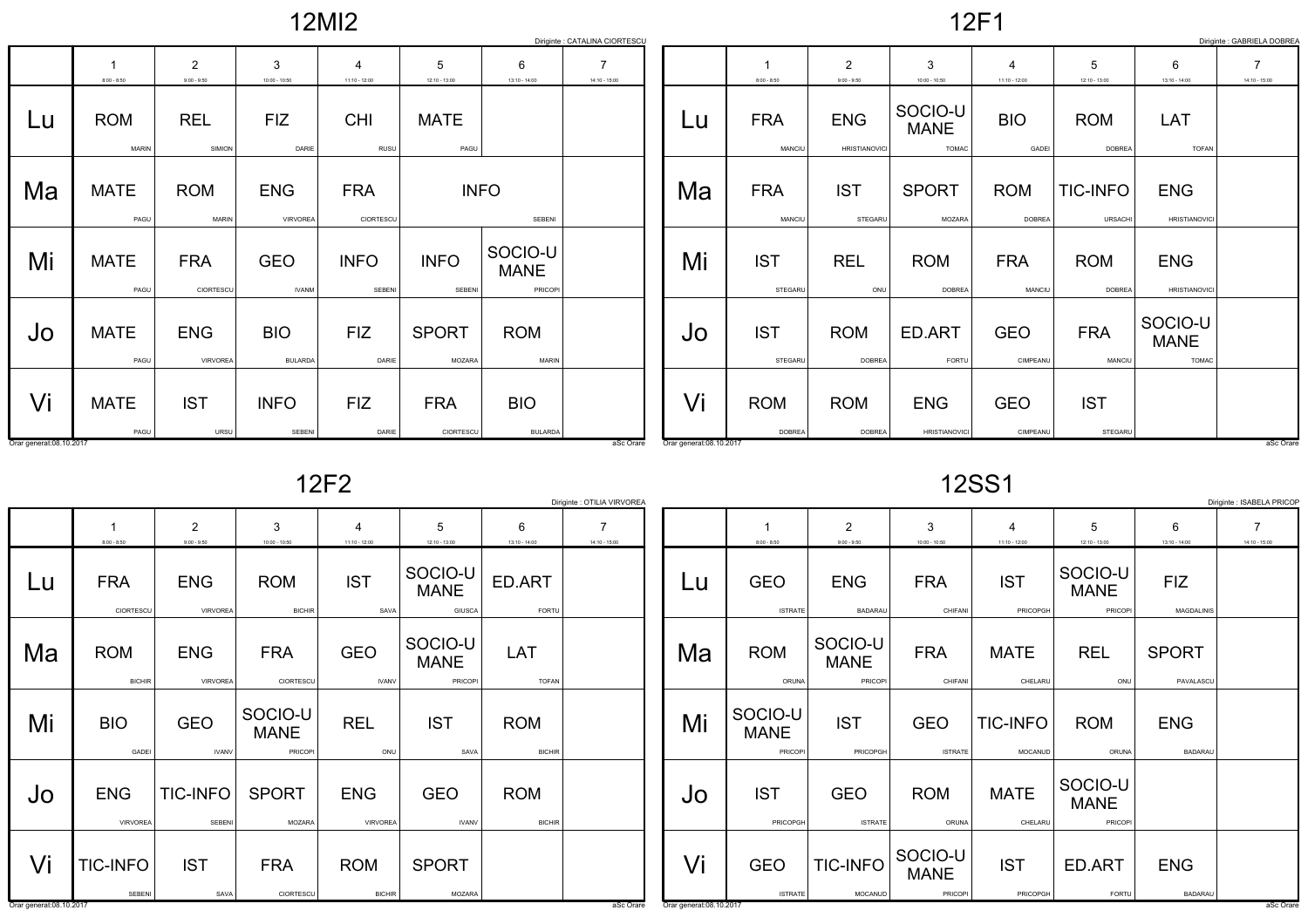|  | <b>2MI2</b> |  |
|--|-------------|--|
|  |             |  |

12F1

|                         |                            |                                 |                              |                         |                         |                                   | Diriginte : CATALINA CIORTESCU    |                          |                             |                                    |                                        |                                   |                                   |                                        | Diriginte : GABRIELA DOBREA       |
|-------------------------|----------------------------|---------------------------------|------------------------------|-------------------------|-------------------------|-----------------------------------|-----------------------------------|--------------------------|-----------------------------|------------------------------------|----------------------------------------|-----------------------------------|-----------------------------------|----------------------------------------|-----------------------------------|
|                         | $8:00 - 8:50$              | $\overline{2}$<br>$9:00 - 9:50$ | 3<br>$10:00 - 10:50$         | 4<br>$11:10 - 12:00$    | 5<br>$12:10 - 13:00$    | 6<br>$13:10 - 14:00$              | $\overline{7}$<br>$14:10 - 15:00$ |                          | $8:00 - 8:50$               | $\overline{2}$<br>$9:00 - 9:50$    | 3<br>$10:00 - 10:50$                   | $\overline{4}$<br>$11:10 - 12:00$ | 5<br>$12:10 - 13:00$              | 6<br>$13:10 - 14:00$                   | $\overline{7}$<br>$14:10 - 15:00$ |
| Lu                      | <b>ROM</b><br><b>MARIN</b> | <b>REL</b><br>SIMION            | <b>FIZ</b><br>DARIE          | <b>CHI</b><br>RUSU      | <b>MATE</b><br>PAGU     |                                   |                                   | Lu                       | <b>FRA</b><br>MANCIU        | <b>ENG</b><br><b>HRISTIANOVICI</b> | SOCIO-U<br><b>MANE</b><br><b>TOMAC</b> | <b>BIO</b><br>GADEI               | <b>ROM</b><br><b>DOBREA</b>       | LAT<br><b>TOFAN</b>                    |                                   |
| Ma                      | <b>MATE</b><br>PAGU        | <b>ROM</b><br><b>MARIN</b>      | <b>ENG</b><br>VIRVOREA       | <b>FRA</b><br>CIORTESCU |                         | <b>INFO</b><br>SEBENI             |                                   | Ma                       | <b>FRA</b><br>MANCIU        | <b>IST</b><br>STEGARU              | <b>SPORT</b><br>MOZARA                 | <b>ROM</b><br><b>DOBREA</b>       | <b>TIC-INFO</b><br><b>URSACHI</b> | <b>ENG</b><br><b>HRISTIANOVICI</b>     |                                   |
| Mi                      | <b>MATE</b><br>PAGU        | <b>FRA</b><br>CIORTESCU         | <b>GEO</b><br><b>IVANM</b>   | <b>INFO</b><br>SEBENI   | <b>INFO</b><br>SEBENI   | SOCIO-U<br><b>MANE</b><br>PRICOPI |                                   | Mi                       | <b>IST</b><br>STEGARL       | <b>REL</b><br>ONU                  | <b>ROM</b><br><b>DOBREA</b>            | <b>FRA</b><br>MANCIU              | <b>ROM</b><br><b>DOBREA</b>       | <b>ENG</b><br><b>HRISTIANOVICI</b>     |                                   |
| Jo                      | <b>MATE</b><br>PAGU        | <b>ENG</b><br>VIRVOREA          | <b>BIO</b><br><b>BULARDA</b> | <b>FIZ</b><br>DARIE     | <b>SPORT</b><br>MOZARA  | <b>ROM</b><br>MARIN               |                                   | Jo                       | <b>IST</b><br>STEGARL       | <b>ROM</b><br><b>DOBREA</b>        | ED.ART<br>FORTU                        | <b>GEO</b><br>CIMPEANU            | <b>FRA</b><br>MANCIU              | SOCIO-U<br><b>MANE</b><br><b>TOMAC</b> |                                   |
| Vi                      | <b>MATE</b><br>PAGU        | <b>IST</b><br>URSU              | <b>INFO</b><br>SEBENI        | <b>FIZ</b><br>DARIE     | <b>FRA</b><br>CIORTESCU | <b>BIO</b><br><b>BULARDA</b>      |                                   | Vi                       | <b>ROM</b><br><b>DOBREA</b> | <b>ROM</b><br><b>DOBREA</b>        | <b>ENG</b><br><b>HRISTIANOVICI</b>     | <b>GEO</b><br>CIMPEANU            | <b>IST</b><br>STEGARU             |                                        |                                   |
| Orar generat:08.10.2017 |                            |                                 |                              |                         |                         |                                   | aSc Orare                         | Orar generat: 08.10.2017 |                             |                                    |                                        |                                   |                                   |                                        | aSc Orare                         |

12F2

| o. |
|----|
|----|

|                         | Diriginte : ISABELA PRICOF<br>Diriginte : OTILIA VIRVOREA |                                 |                                   |                               |                                   |                             |                 |                          |                                   |                                   |                                  |                            |                                   |                              |                                   |
|-------------------------|-----------------------------------------------------------|---------------------------------|-----------------------------------|-------------------------------|-----------------------------------|-----------------------------|-----------------|--------------------------|-----------------------------------|-----------------------------------|----------------------------------|----------------------------|-----------------------------------|------------------------------|-----------------------------------|
|                         | $8:00 - 8:50$                                             | $\overline{2}$<br>$9:00 - 9:50$ | 3<br>$10:00 - 10:50$              | $11:10 - 12:00$               | 5<br>$12:10 - 13:00$              | 6<br>$13:10 - 14:00$        | $14:10 - 15:00$ |                          | $8:00 - 8:50$                     | $\overline{2}$<br>$9:00 - 9:50$   | 3<br>$10:00 - 10:50$             | 4<br>11:10 - 12:00         | 5<br>$12:10 - 13:00$              | 6<br>$13:10 - 14:00$         | $\overline{7}$<br>$14:10 - 15:00$ |
| Lu                      | <b>FRA</b><br>CIORTESCU                                   | <b>ENG</b><br>VIRVOREA          | <b>ROM</b><br><b>BICHIR</b>       | <b>IST</b><br>SAVA            | SOCIO-U<br><b>MANE</b><br>GIUSCA  | ED.ART<br>FORTU             |                 | Lu                       | <b>GEO</b><br><b>ISTRATE</b>      | <b>ENG</b><br><b>BADARAU</b>      | <b>FRA</b><br>CHIFANI            | <b>IST</b><br>PRICOPGH     | SOCIO-U<br><b>MANE</b><br>PRICOPI | <b>FIZ</b><br>MAGDALINIS     |                                   |
| Ma                      | <b>ROM</b><br><b>BICHIF</b>                               | <b>ENG</b><br>VIRVOREA          | <b>FRA</b><br>CIORTESCU           | <b>GEO</b><br><b>IVANV</b>    | SOCIO-U<br><b>MANE</b><br>PRICOPI | LAT<br><b>TOFAN</b>         |                 | Ma                       | <b>ROM</b><br>ORUNA               | SOCIO-U<br><b>MANE</b><br>PRICOPI | <b>FRA</b><br>CHIFANI            | <b>MATE</b><br>CHELARU     | <b>REL</b><br>ONU                 | <b>SPORT</b><br>PAVALASCU    |                                   |
| Mi                      | <b>BIO</b><br>GADEI                                       | <b>GEO</b><br><b>IVANV</b>      | SOCIO-U<br><b>MANE</b><br>PRICOPI | <b>REL</b><br>ONU             | <b>IST</b><br>SAVA                | <b>ROM</b><br><b>BICHIR</b> |                 | Mi                       | SOCIO-U<br><b>MANE</b><br>PRICOPI | <b>IST</b><br>PRICOPGH            | <b>GEO</b><br><b>ISTRATE</b>     | <b>TIC-INFO</b><br>MOCANUD | <b>ROM</b><br>ORUNA               | <b>ENG</b><br><b>BADARAU</b> |                                   |
| Jo                      | <b>ENG</b><br><b>VIRVOREA</b>                             | TIC-INFO<br>SEBENI              | <b>SPORT</b><br>MOZARA            | <b>ENG</b><br><b>VIRVOREA</b> | <b>GEO</b><br><b>IVANV</b>        | <b>ROM</b><br><b>BICHIR</b> |                 | Jo                       | <b>IST</b><br>PRICOPGH            | <b>GEO</b><br><b>ISTRATE</b>      | <b>ROM</b><br>ORUNA              | <b>MATE</b><br>CHELARU     | SOCIO-U<br><b>MANE</b><br>PRICOPI |                              |                                   |
| Vi                      | <b>TIC-INFO</b><br>SEBENI                                 | <b>IST</b><br>SAVA              | <b>FRA</b><br>CIORTESCU           | <b>ROM</b><br><b>BICHIR</b>   | <b>SPORT</b><br>MOZARA            |                             |                 | Vi                       | <b>GEO</b><br><b>ISTRATE</b>      | <b>TIC-INFO</b><br>MOCANUD        | SOCIO-U<br><b>MANE</b><br>PRICOP | <b>IST</b><br>PRICOPGH     | ED.ART<br>FORTU                   | <b>ENG</b><br><b>BADARAU</b> |                                   |
| Orar generat:08.10.2017 |                                                           |                                 |                                   |                               |                                   |                             | aSc Orare       | Orar generat: 08.10.2017 |                                   |                                   |                                  |                            |                                   |                              | aSc Orare                         |